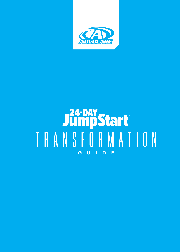

# Ja-DAY<br>TRANSFORMATION **GUIDE**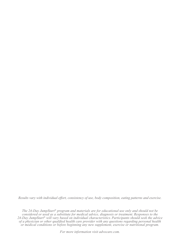*Results vary with individual effort, consistency of use, body composition, eating patterns and exercise.*

*The 24-Day JumpStart® program and materials are for educational use only and should not be considered or used as a substitute for medical advice, diagnosis or treatment. Responses to the 24-Day JumpStart® will vary based on individual characteristics. Participants should seek the advice of a physician or other qualified health care provider with any questions regarding personal health or medical conditions or before beginning any new supplement, exercise or nutritional program.*

*For more information visit advocare.com.*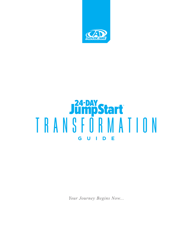

# **JumpStart**<br>TRANSFORMATION **GUIDE**

*Your Journey Begins Now...*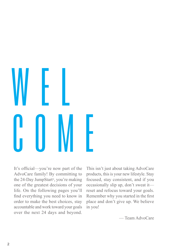# WEL COME

It's official—you're now part of the AdvoCare family! By committing to the 24-Day JumpStart*®*, you're making one of the greatest decisions of your life. On the following pages you'll find everything you need to know in order to make the best choices, stay accountable and work toward your goals over the next 24 days and beyond.

This isn't just about taking AdvoCare products, this is your new lifestyle. Stay focused, stay consistent, and if you occasionally slip up, don't sweat it reset and refocus toward your goals. Remember why you started in the first place and don't give up. We believe in you!

— Team AdvoCare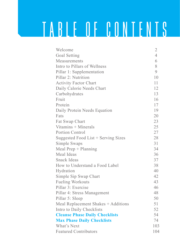## TABLE OF CONTENTS

| Welcome                               | $\overline{c}$ |
|---------------------------------------|----------------|
| Goal Setting                          | $\overline{4}$ |
| Measurements                          | 6              |
| Intro to Pillars of Wellness          | 8              |
| Pillar 1: Supplementation             | $\mathcal{Q}$  |
| Pillar 2: Nutrition                   | 1 <sub>0</sub> |
| <b>Activity Factor Chart</b>          | 11             |
| Daily Calorie Needs Chart             | 12             |
| Carbohydrates                         | 13             |
| Fruit                                 | 16             |
| Protein                               | 17             |
| Daily Protein Needs Equation          | 19             |
| Fats                                  | 20             |
| Fat Swap Chart                        | 23             |
| Vitamins + Minerals                   | 25             |
| Portion Control                       | 27             |
| Suggested Food List + Serving Sizes   | 28             |
| Simple Swaps                          | 31             |
| Meal $Prep + Planning$                | 34             |
| Meal Ideas                            | 36             |
| Snack Ideas                           | 37             |
| How to Understand a Food Label        | 38             |
| Hydration                             | 40             |
| Simple Sip Swap Chart                 | 42             |
| Fueling Workouts                      | 43             |
| Pillar 3: Exercise                    | 46             |
| Pillar 4: Stress Management           | 48             |
| Pillar 5: Sleep                       | 50             |
| Meal Replacement Shakes + Additions   | 51             |
| Intro to Daily Checklists             | 52             |
| <b>Cleanse Phase Daily Checklists</b> | 54             |
| <b>Max Phase Daily Checklists</b>     | 74             |
| What's Next                           | 103            |
| <b>Featured Contributors</b>          | 104            |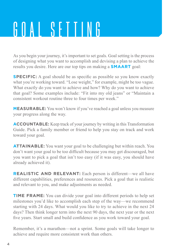## GOAL SETTING

As you begin your journey, it's important to set goals. Goal setting is the process of designing what you want to accomplish and devising a plan to achieve the results you desire. Here are our top tips on making a **SMAART** goal:

**SPECIFIC:** A goal should be as specific as possible so you know exactly what you're working toward. "Lose weight," for example, might be too vague. What exactly do you want to achieve and how? Why do you want to achieve that goal? Some examples include: "Fit into my old jeans" or "Maintain a consistent workout routine three to four times per week."

**MEASURABLE:** You won't know if you've reached a goal unless you measure your progress along the way.

**ACCOUNTABLE:** Keep track of your journey by writing in this Transformation Guide. Pick a family member or friend to help you stay on track and work toward your goal.

**ATTAINABLE:** You want your goal to be challenging but within reach. You don't want your goal to be too difficult because you may get discouraged, but you want to pick a goal that isn't too easy (if it was easy, you should have already achieved it).

**REALISTIC AND RELEVANT:** Each person is different—we all have different capabilities, preferences and resources. Pick a goal that is realistic and relevant to you, and make adjustments as needed.

**TIME FRAME:** You can divide your goal into different periods to help set milestones you'd like to accomplish each step of the way—we recommend starting with 24 days. What would you like to try to achieve in the next 24 days? Then think longer term into the next 90 days, the next year or the next five years. Start small and build confidence as you work toward your goal.

Remember, it's a marathon—not a sprint. Some goals will take longer to achieve and require more consistent work than others.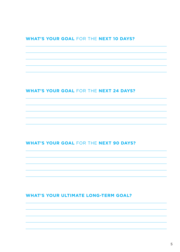#### **WHAT'S YOUR GOAL** FOR THE **NEXT 10 DAYS?**

#### **WHAT'S YOUR GOAL** FOR THE **NEXT 24 DAYS?**

#### **WHAT'S YOUR GOAL** FOR THE **NEXT 90 DAYS?**

#### **WHAT'S YOUR ULTIMATE LONG-TERM GOAL?**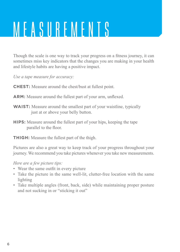## MEASUREMENTS

Though the scale is one way to track your progress on a fitness journey, it can sometimes miss key indicators that the changes you are making in your health and lifestyle habits are having a positive impact.

*Use a tape measure for accuracy:*

**CHEST:** Measure around the chest/bust at fullest point.

- **ARM:** Measure around the fullest part of your arm, unflexed.
- **WAIST:** Measure around the smallest part of your waistline, typically just at or above your belly button.
- **HIPS:** Measure around the fullest part of your hips, keeping the tape parallel to the floor.
- **THIGH:** Measure the fullest part of the thigh.

Pictures are also a great way to keep track of your progress throughout your journey. We recommend you take pictures whenever you take new measurements.

*Here are a few picture tips:*

- Wear the same outfit in every picture
- Take the picture in the same well-lit, clutter-free location with the same lighting
- Take multiple angles (front, back, side) while maintaining proper posture and not sucking in or "sticking it out"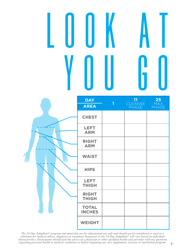# L O O K A T YOU GO

|              | <b>DAY</b><br><b>AREA</b>     | $\mathbf{1}$ | 11<br><b>CLEANSE</b><br><b>PHASE</b> | 25<br>MAX<br><b>PHASE</b> |
|--------------|-------------------------------|--------------|--------------------------------------|---------------------------|
|              | <b>CHEST</b>                  |              |                                      |                           |
|              | <b>LEFT</b><br><b>ARM</b>     |              |                                      |                           |
|              | <b>RIGHT</b><br><b>ARM</b>    |              |                                      |                           |
| $\int_{H_1}$ | <b>WAIST</b>                  |              |                                      |                           |
|              | <b>HIPS</b>                   |              |                                      |                           |
|              | <b>LEFT</b><br><b>THIGH</b>   |              |                                      |                           |
|              | <b>RIGHT</b><br><b>THIGH</b>  |              |                                      |                           |
|              | <b>TOTAL</b><br><b>INCHES</b> |              |                                      |                           |
|              | <b>WEIGHT</b>                 |              |                                      |                           |

The 24-Day JumpStart® program and materials are for educational use only and should not be considered or used as a<br>substitute for medical advice, diagnosis or treatment. Responses to the 24-Day JumpStart® will vary based o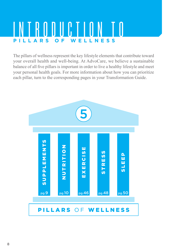### INTRODUCT **WELLNESS**

The pillars of wellness represent the key lifestyle elements that contribute toward your overall health and well-being. At AdvoCare, we believe a sustainable balance of all five pillars is important in order to live a healthy lifestyle and meet your personal health goals. For more information about how you can prioritize each pillar, turn to the corresponding pages in your Transformation Guide.

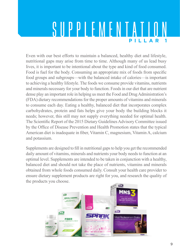### SUPPLEMENTATIO **PILLAR 1**

Even with our best efforts to maintain a balanced, healthy diet and lifestyle, nutritional gaps may arise from time to time. Although many of us lead busy lives, it is important to be intentional about the type and kind of food consumed. Food is fuel for the body. Consuming an appropriate mix of foods from specific food groups and subgroups—with the balanced intake of calories—is important to achieving a healthy lifestyle. The foods we consume provide vitamins, nutrients and minerals necessary for your body to function. Foods in our diet that are nutrient dense play an important role in helping us meet the Food and Drug Administration's (FDA) dietary recommendations for the proper amounts of vitamins and minerals to consume each day. Eating a healthy, balanced diet that incorporates complex carbohydrates, protein and fats helps give your body the building blocks it needs; however, this still may not supply everything needed for optimal health. The Scientific Report of the 2015 Dietary Guidelines Advisory Committee issued by the Office of Disease Prevention and Health Promotion states that the typical American diet is inadequate in fiber, Vitamin C, magnesium, Vitamin A, calcium and potassium.

Supplements are designed to fill in nutritional gaps to help you get the recommended daily amount of vitamins, minerals and nutrients your body needs to function at an optimal level. Supplements are intended to be taken in conjunction with a healthy, balanced diet and should not take the place of nutrients, vitamins and minerals obtained from whole foods consumed daily. Consult your health care provider to ensure dietary supplement products are right for you, and research the quality of the products you choose.

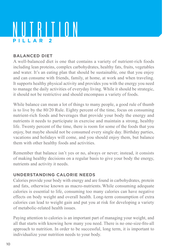### NUTRITION **PILLAR 2**

#### **BALANCED DIET**

A well-balanced diet is one that contains a variety of nutrient-rich foods including lean proteins, complex carbohydrates, healthy fats, fruits, vegetables and water. It's an eating plan that should be sustainable, one that you enjoy and can consume with friends, family, at home, at work and when traveling. It supports healthy physical activity and provides you with the energy you need to manage the daily activities of everyday living. While it should be strategic, it should not be restrictive and should encompass a variety of foods.

While balance can mean a lot of things to many people, a good rule of thumb is to live by the 80/20 Rule. Eighty percent of the time, focus on consuming nutrient-rich foods and beverages that provide your body the energy and nutrients it needs to participate in exercise and maintain a strong, healthy life. Twenty percent of the time, there is room for some of the foods that you enjoy, but maybe should not be consumed every single day. Birthday parties, vacations and holidays will come, and you should enjoy them, but balance them with other healthy foods and activities.

Remember that balance isn't yes or no, always or never; instead, it consists of making healthy decisions on a regular basis to give your body the energy, nutrients and activity it needs.

#### **UNDERSTANDING CALORIE NEEDS**

Calories provide your body with energy and are found in carbohydrates, protein and fats, otherwise known as macro-nutrients. While consuming adequate calories is essential to life, consuming too many calories can have negative effects on body weight and overall health. Long-term consumption of extra calories can lead to weight gain and put you at risk for developing a variety of metabolic-related health issues.

Paying attention to calories is an important part of managing your weight, and all that starts with knowing how many you need. There is no one-size-fits-all approach to nutrition. In order to be successful, long term, it is important to individualize your nutrition needs to your body.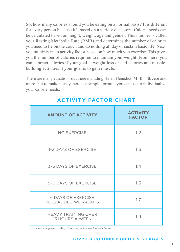So, how many calories should you be eating on a normal basis? It is different for every person because it's based on a variety of factors. Calorie needs can be calculated based on height, weight, age and gender. This number is called your Resting Metabolic Rate (RMR) and determines the number of calories you need to lie on the couch and do nothing all day or sustain basic life. Next, you multiply in an activity factor based on how much you exercise. This gives you the number of calories required to maintain your weight. From here, you can subtract calories if your goal is weight loss or add calories and musclebuilding activities if your goal is to gain muscle.

There are many equations out there including Harris Benedict, Mifflin St. Jeor and more, but to make it easy, here is a simple formula you can use to individualize your calorie needs:

| <b>AMOUNT OF ACTIVITY</b>                        | <b>ACTIVITY</b><br><b>FACTOR</b> |
|--------------------------------------------------|----------------------------------|
| <b>NO EXERCISE</b>                               | 1.2                              |
| 1-3 DAYS OF EXERCISE                             | 1.3                              |
| 3-5 DAYS OF EXERCISE                             | 1.4                              |
| 5-6 DAYS OF EXERCISE                             | 1.5                              |
| <b>6 DAYS OF EXERCISE</b><br>PLUS ADDED WORKOUTS | 1.7                              |
| <b>HEAVY TRAINING OVER</b><br>15 HOURS A WEEK    | 1.9                              |

#### **ACTIVITY FACTOR CHART**

*AdvoCare compensated Amy Goodson for her work in this Guide.*

#### FORMULA CONTINUED ON THE NEXT PAGE >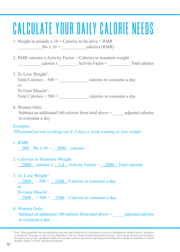### CALCULATE YOUR DAILY CALORIE NEEDS

- 1. Weight in pounds  $x = 10$  = Calories to be alive = RMR  $\text{1b}$ s x 10 =  $\text{calories (RMR)}$
- 2. RMR calories x Activity Factor = Calories to maintain weight \_\_\_\_\_\_\_\_\_\_\_calories x \_\_\_\_\_\_\_\_\_ Activity Factor = \_\_\_\_\_\_\_\_\_\_\_Total calories
- 3. To Lose Weight† : Total Calories –  $500 =$  calories to consume a day *or* To Gain Muscle† : Total Calories  $+ 500 =$  calories to consume a day
- 4. Women Only:

 Subtract an additional 160 calories from total above = \_\_\_\_\_ adjusted calories to consume a day

#### *Example:*

*200-pound person working out 4–5 days a week wanting to lose weight*

1. RMR:

200 lbs  $x 10 = 2000$  calories

- 2. Calories to Maintain Weight: 2000 calories x 1.4 Activity Factor = 2800 Total calories
- 3. To Lose Weight† :

 $2800 - 500 = 2300$  Calories to consume a day

or

To Gain Muscle† :

 $2800 + 500 = 3300$  Calories to consume a day

4. Women Only: Subtract an additional 160 calories from total above  $=$  adjusted calories to consume a day

*<sup>†</sup> Note: These guidelines are for educational use only and should not be considered or used as a substitute for medical advice, diagnosis*  or treatment. Responses to the 24-Day JumpStart® will vary based on individual characteristics. Participants should seek the advice<br>of a physician or other qualified health care provider with any questions regarding person *making changes to their nutritional program.*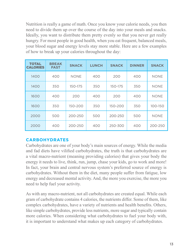Nutrition is really a game of math. Once you know your calorie needs, you then need to divide them up over the course of the day into your meals and snacks. Ideally, you want to distribute them pretty evenly so that you never get really hungry. For most people in good health, when you eat frequent, balanced meals, your blood sugar and energy levels stay more stable. Here are a few examples of how to break up your calories throughout the day:

| <b>TOTAL</b><br><b>CALORIES</b> | <b>BREAK</b><br><b>FAST</b> | <b>SNACK</b> | <b>LUNCH</b> | <b>SNACK</b> | <b>DINNER</b> | <b>SNACK</b> |
|---------------------------------|-----------------------------|--------------|--------------|--------------|---------------|--------------|
| 1400                            | 400                         | <b>NONE</b>  | 400          | 200          | 400           | <b>NONE</b>  |
| 1400                            | 350                         | 150-175      | 350          | 150-175      | 350           | <b>NONE</b>  |
| 1600                            | 400                         | 200          | 400          | 200          | 400           | <b>NONE</b>  |
| 1600                            | 350                         | 150-200      | 350          | 150-200      | 350           | 100-150      |
| 2000                            | 500                         | 200-250      | 500          | 200-250      | 500           | <b>NONE</b>  |
| 2000                            | 400                         | 200-250      | 400          | 250-300      | 400           | 200-250      |

#### **CARBOHYDRATES**

Carbohydrates are one of your body's main sources of energy. While the media and fad diets have vilified carbohydrates, the truth is that carbohydrates are a vital macro-nutrient (meaning providing calories) that gives your body the energy it needs to live, think, run, jump, chase your kids, go to work and more! In fact, your brain and central nervous system's preferred source of energy is carbohydrates. Without them in the diet, many people suffer from fatigue, low energy and decreased mental activity. And, the more you exercise, the more you need to help fuel your activity.

As with any macro-nutrient, not all carbohydrates are created equal. While each gram of carbohydrate contains 4 calories, the nutrients differ. Some of them, like complex carbohydrates, have a variety of nutrients and health benefits. Others, like simple carbohydrates, provide less nutrients, more sugar and typically contain more calories. When considering what carbohydrates to fuel your body with, it is important to understand what makes up each category of carbohydrates.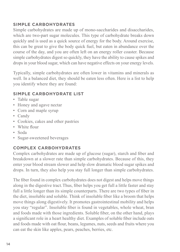#### **SIMPLE CARBOHYDRATES**

Simple carbohydrates are made up of mono-saccharides and disaccharides, which are two-part sugar molecules. This type of carbohydrate breaks down quickly and is used as a quick source of energy for the body. Around exercise, this can be great to give the body quick fuel, but eaten in abundance over the course of the day, and you are often left on an energy roller coaster. Because simple carbohydrates digest so quickly, they have the ability to cause spikes and drops in your blood sugar, which can have negative effects on your energy levels.

Typically, simple carbohydrates are often lower in vitamins and minerals as well. In a balanced diet, they should be eaten less often. Here is a list to help you identify where they are found:

#### **SIMPLE CARBOHYDRATE LIST**

- Table sugar
- Honey and agave nectar
- Corn and maple syrup
- Candy
- Cookies, cakes and other pastries
- White flour
- Soda
- Sugar-sweetened beverages

#### **COMPLEX CARBOHYDRATES**

Complex carbohydrates are made up of glucose (sugar), starch and fiber and breakdown at a slower rate than simple carbohydrates. Because of this, they enter your blood stream slower and help slow dramatic blood sugar spikes and drops. In turn, they also help you stay full longer than simple carbohydrates.

The fiber found in complex carbohydrates does not digest and helps move things along in the digestive tract. Thus, fiber helps you get full a little faster and stay full a little longer than its simple counterparts. There are two types of fiber in the diet, insoluble and soluble. Think of insoluble fiber like a broom that helps move things along digestively. It promotes gastrointestinal mobility and helps you stay "regular". Insoluble fiber is found in vegetables, whole wheat, bran and foods made with those ingredients. Soluble fiber, on the other hand, plays a significant role in a heart healthy diet. Examples of soluble fiber include oats and foods made with oat flour, beans, legumes, nuts, seeds and fruits where you can eat the skin like apples, pears, peaches, berries, etc.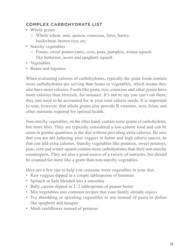#### **COMPLEX CARBOHYDRATE LIST**

- Whole grains
	- Whole wheat, oats, quinoa, couscous, farro, barley, buckwheat, brown rice, etc.
- Starchy vegetables
	- Potato, sweet potato/yams, corn, peas, pumpkin, winter squash like butternut, acorn and spaghetti squash
- Vegetables
- Beans and legumes

When evaluating calories of carbohydrates, typically the grain foods contain more carbohydrates per serving than beans or vegetables, which means they also have more calories. Foods like pasta, rice, couscous and other grains have more calories than broccoli, for instance. It's not to say you can't eat them, they just need to be accounted for in your total calorie needs. It is important to note, however, that whole grains also provide B vitamins, iron, folate and other nutrients required for optimal health.

Non-starchy vegetables, on the other hand, contain some grams of carbohydrate, but more fiber. They are typically considered a low-calorie food and can be eaten in greater quantities in the diet without providing extra calories. Be sure that you are not lathering your veggies in butter and high calorie sauces, as that can add extra calories. Starchy vegetables like potatoes, sweet potatoes, peas, corn and winter squash contain more carbohydrates than their non-starchy counterparts. They are also a good source of a variety of nutrients, but should be counted for more like a grain than non-starchy vegetables.

Here are a few tips to help you consume more vegetables in your diet:

- Raw veggies dipped in a couple tablespoons of hummus
- Spinach or kale blended into a smoothie
- Baby carrots dipped in 1–2 tablespoons of peanut butter
- Mix vegetables into common recipes that your family already enjoys
- Try shredding or spiraling vegetables to use instead of pasta in dishes like spaghetti and lasagna
- Mash cauliflower instead of potatoes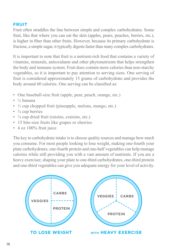#### **FRUIT**

Fruit often straddles the line between simple and complex carbohydrates. Some fruit, like that where you can eat the skin (apples, pears, peaches, berries, etc.), is higher in fiber than other fruits. However, because its primary carbohydrate is fructose, a simple sugar, it typically digests faster than many complex carbohydrates.

It is important to note that fruit is a nutrient-rich food that contains a variety of vitamins, minerals, antioxidants and other phytonutrients that helps strengthen the body and immune system. Fruit does contain more calories than non-starchy vegetables, so it is important to pay attention to serving sizes. One serving of fruit is considered approximately 15 grams of carbohydrate and provides the body around 60 calories. One serving can be classified as:

- One baseball-size fruit (apple, pear, peach, orange, etc.)
- $\bullet$  ½ banana
- $\cdot$   $\frac{1}{2}$  cup chopped fruit (pineapple, melons, mango, etc.)
- $\cdot$   $\frac{3}{4}$  cup berries
- $\cdot$   $\frac{1}{4}$  cup dried fruit (raisins, craisins, etc.)
- 15 bite-size fruits like grapes or cherries
- 4 oz 100% fruit juice

The key to carbohydrate intake is to choose quality sources and manage how much you consume. For most people looking to lose weight, making one-fourth your plate carbohydrates, one-fourth protein and one-half vegetables can help manage calories while still providing you with a vast amount of nutrients. If you are a heavy exerciser, shaping your plate to one-third carbohydrates, one-third protein and one-third vegetables can give you adequate energy for your level of activity.

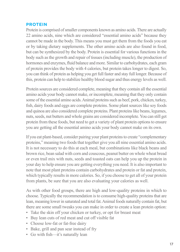#### **PROTEIN**

Protein is comprised of smaller components known as amino acids. There are actually 22 amino acids, nine which are considered "essential amino acids" because they cannot be made in the body. This means you must get them from the foods you eat or by taking dietary supplements. The other amino acids are also found in food, but can be synthesized by the body. Protein is essential for various functions in the body such as the growth and repair of tissues (including muscle), the production of hormones and enzymes, fluid balance and more. Similar to carbohydrates, each gram of protein provides the body with 4 calories, but protein takes longer to digest. So, you can think of protein as helping you get full faster and stay full longer. Because of this, protein can help to stabilize healthy blood sugar and thus energy levels as well.

Protein sources are considered complete, meaning that they contain all the essential amino acids your body cannot make, or incomplete, meaning that they only contain some of the essential amino acids. Animal proteins such as beef, pork, chicken, turkey, fish, dairy foods and eggs are complete proteins. Some plant sources like soy foods and quinoa are also considered complete proteins. Plant proteins like beans, legumes, nuts, seeds, nut butters and whole grains are considered incomplete. You can still get protein from these foods, but need to get a variety of plant protein options to ensure you are getting all the essential amino acids your body cannot make on its own.

If you eat plant-based, consider pairing your plant proteins to create "complementary proteins," meaning two foods that together give you all nine essential amino acids. It is not necessary to do this at each meal, but combinations like black beans and brown rice, bean salad with corn and couscous, peanut butter on whole wheat bread or even trail mix with nuts, seeds and toasted oats can help you up the protein in your day to help ensure you are getting everything you need. It is also important to note that most plant proteins contain carbohydrates and protein or fat and protein, which typically results in more calories. So, if you choose to get all of your protein from plants, be sure that you are also evaluating your calories as well.

As with other food groups, there are high and low-quality proteins in which to choose. Typically the recommendation is to consume high-quality proteins that are lean, meaning lower in saturated and total fat. Animal foods naturally contain fat, but there are some small tweaks you can make in order to create a lean protein option:

- Take the skin off your chicken or turkey, or opt for breast meat
- Buy lean cuts of red meat and cut off visible fat
- Choose low-fat or fat-free dairy
- Bake, grill and pan sear instead of fry
- Go with fish—it's naturally lean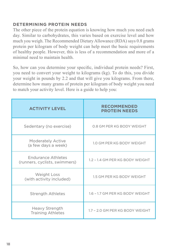#### **DETERMINING PROTEIN NEEDS**

The other piece of the protein equation is knowing how much you need each day. Similar to carbohydrates, this varies based on exercise level and how much you weigh. The Recommended Dietary Allowance (RDA) says 0.8 grams protein per kilogram of body weight can help meet the basic requirements of healthy people. However, this is less of a recommendation and more of a minimal need to maintain health.

So, how can you determine your specific, individual protein needs? First, you need to convert your weight to kilograms (kg). To do this, you divide your weight in pounds by 2.2 and that will give you kilograms. From there, determine how many grams of protein per kilogram of body weight you need to match your activity level. Here is a guide to help you:

| <b>ACTIVITY LEVEL</b>                               | <b>RECOMMENDED</b><br><b>PROTEIN NEEDS</b> |
|-----------------------------------------------------|--------------------------------------------|
| Sedentary (no exercise)                             | 0.8 GM PER KG BODY WEIGHT                  |
| <b>Moderately Active</b><br>(a few days a week)     | 1.0 GM PER KG BODY WEIGHT                  |
| Endurance Athletes<br>(runners, cyclists, swimmers) | 1.2 - 1.4 GM PER KG BODY WEIGHT            |
| Weight Loss<br>(with activity included)             | 1.5 GM PER KG BODY WEIGHT                  |
| <b>Strength Athletes</b>                            | 1.6 - 1.7 GM PER KG BODY WEIGHT            |
| Heavy Strength<br><b>Training Athletes</b>          | 1.7 - 2.0 GM PER KG BODY WEIGHT            |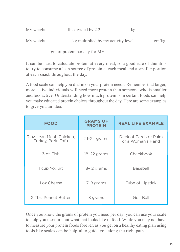| My weight<br>lbs divided by $2.2 =$ |  |
|-------------------------------------|--|
|-------------------------------------|--|

My weight  $\qquad \qquad$  kg multiplied by my activity level gm/kg

= gm of protein per day for ME

It can be hard to calculate protein at every meal, so a good rule of thumb is to try to consume a lean source of protein at each meal and a smaller portion at each snack throughout the day.

A food scale can help you dial in on your protein needs. Remember that larger, more active individuals will need more protein than someone who is smaller and less active. Understanding how much protein is in certain foods can help you make educated protein choices throughout the day. Here are some examples to give you an idea:

| <b>FOOD</b>                                    | <b>GRAMS OF</b><br><b>PROTEIN</b> | <b>REAL LIFE EXAMPLE</b>                   |
|------------------------------------------------|-----------------------------------|--------------------------------------------|
| 3 oz Lean Meat, Chicken,<br>Turkey, Pork, Tofu | $21-24$ grams                     | Deck of Cards or Palm<br>of a Woman's Hand |
| 3 oz Fish                                      | $18-22$ grams                     | Checkbook                                  |
| 1 cup Yogurt                                   | 8-12 grams                        | Baseball                                   |
| 1 oz Cheese                                    | 7-8 grams                         | Tube of Lipstick                           |
| 2 Tbs, Peanut Butter                           | 8 grams                           | Golf Ball                                  |

Once you know the grams of protein you need per day, you can use your scale to help you measure out what that looks like in food. While you may not have to measure your protein foods forever, as you get on a healthy eating plan using tools like scales can be helpful to guide you along the right path.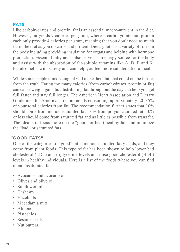#### **FATS**

Like carbohydrates and protein, fat is an essential macro-nutrient in the diet. However, fat yields 9 calories per gram, whereas carbohydrate and protein each only provide 4 calories per gram, meaning that you don't need as much fat in the diet as you do carbs and protein. Dietary fat has a variety of roles in the body including providing insulation for organs and helping with hormone production. Essential fatty acids also serve as an energy source for the body and assist with the absorption of fat-soluble vitamins like A, D, E and K. Fat also helps with satiety and can help you feel more satiated after a meal.

While some people think eating fat will make them fat, that could not be further from the truth. Eating too many calories (from carbohydrates, protein or fat) can cause weight gain, but distributing fat throughout the day can help you get full faster and stay full longer. The American Heart Association and Dietary Guidelines for Americans recommends consuming approximately 20–35% of your total calories from fat. The recommendation further states that 10% should come from monounsaturated fat, 10% from polyunsaturated fat, 10% or less should come from saturated fat and as little as possible from trans fat. The idea is to focus more on the "good" or heart healthy fats and minimize the "bad" or saturated fats.

#### **GOOD FATS" "**

One of the categories of "good" fat is monounsaturated fatty acids, and they come from plant foods. This type of fat has been shown to help lower bad cholesterol (LDL) and triglyceride levels and raise good cholesterol (HDL) levels in healthy individuals. Here is a list of the foods where you can find monounsaturated fats:

- Avocados and avocado oil
- Olives and olive oil
- Sunflower oil
- Cashews
- Hazelnuts
- Macadamia nuts
- Almonds
- Pistachios
- Sesame seeds
- Nut butters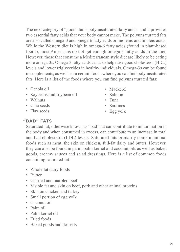The next category of "good" fat is polyunsaturated fatty acids, and it provides two essential fatty acids that your body cannot make. The polyunsaturated fats are also called omega-3 and omega-6 fatty acids or linolenic and linoleic acids. While the Western diet is high in omega-6 fatty acids (found in plant-based foods), most Americans do not get enough omega-3 fatty acids in the diet. However, those that consume a Mediterranean style diet are likely to be eating more omega-3s. Omega-3 fatty acids can also help raise good cholesterol (HDL) levels and lower triglycerides in healthy individuals. Omega-3s can be found in supplements, as well as in certain foods where you can find polyunsaturated fats. Here is a list of the foods where you can find polyunsaturated fats:

- Canola oil
- Soybeans and soybean oil
- Walnuts
- Chia seeds
- Flax seeds
- Mackerel
- Salmon
- Tuna
- Sardines
- Egg yolk

#### **BAD" FATS "**

Saturated fat, otherwise known as "bad" fat can contribute to inflammation in the body and when consumed in excess, can contribute to an increase in total and bad cholesterol (LDL) levels. Saturated fats primarily come in animal foods such as meat, the skin on chicken, full-fat dairy and butter. However, they can also be found in palm, palm kernel and coconut oils as well as baked goods, creamy sauces and salad dressings. Here is a list of common foods containing saturated fat:

- Whole fat dairy foods
- Butter
- Gristled and marbled beef
- Visible fat and skin on beef, pork and other animal proteins
- Skin on chicken and turkey
- Small portion of egg yolk
- Coconut oil
- Palm oil
- Palm kernel oil
- Fried foods
- Baked goods and desserts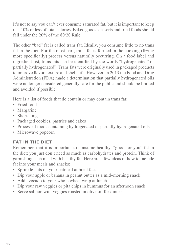It's not to say you can't ever consume saturated fat, but it is important to keep it at 10% or less of total calories. Baked goods, desserts and fried foods should fall under the 20% of the 80/20 Rule.

The other "bad" fat is called trans fat. Ideally, you consume little to no trans fat in the diet. For the most part, trans fat is formed in the cooking (frying more specifically) process versus naturally occurring. On a food label and ingredient list, trans fats can be identified by the words "hydrogenated" or partially hydrogenated". Trans fats were originally used in packaged products "to improve flavor, texture and shelf-life. However, in 2013 the Food and Drug Administration (FDA) made a determination that partially hydrogenated oils were no longer considered generally safe for the public and should be limited and avoided if possible.

Here is a list of foods that do contain or may contain trans fat:

- Fried food
- Margarine
- Shortening
- Packaged cookies, pastries and cakes
- Processed foods containing hydrogenated or partially hydrogenated oils
- Microwave popcorn

#### **FAT IN THE DIET**

Remember, that it is important to consume healthy, "good-for-you" fat in the diet; you just don't need as much as carbohydrates and protein. Think of garnishing each meal with healthy fat. Here are a few ideas of how to include fat into your meals and snacks:

- Sprinkle nuts on your oatmeal at breakfast
- Dip your apple or banana in peanut butter as a mid–morning snack
- Add avocado to your whole wheat wrap at lunch
- Dip your raw veggies or pita chips in hummus for an afternoon snack
- Serve salmon with veggies roasted in olive oil for dinner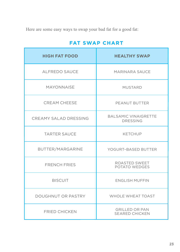Here are some easy ways to swap your bad fat for a good fat:

| <b>FAT SWAP CHART</b> |
|-----------------------|
|-----------------------|

| <b>HIGH FAT FOOD</b>      | <b>HEALTHY SWAP</b>                            |
|---------------------------|------------------------------------------------|
| ALFREDO SAUCE             | MARINARA SAUCE                                 |
| <b>MAYONNAISE</b>         | <b>MUSTARD</b>                                 |
| <b>CREAM CHEESE</b>       | PEANUT BUTTER                                  |
| CREAMY SALAD DRESSING     | <b>BALSAMIC VINAIGRETTE</b><br><b>DRESSING</b> |
| <b>TARTER SAUCE</b>       | <b>KETCHUP</b>                                 |
| BUTTER/MARGARINE          | YOGURT-BASED BUTTER                            |
| <b>FRENCH FRIES</b>       | ROASTED SWEET<br>POTATO WEDGES                 |
| <b>BISCUIT</b>            | <b>ENGLISH MUFFIN</b>                          |
| <b>DOUGHNUT OR PASTRY</b> | <b>WHOLE WHEAT TOAST</b>                       |
| <b>FRIED CHICKEN</b>      | <b>GRILLED OR PAN</b><br><b>SEARED CHICKEN</b> |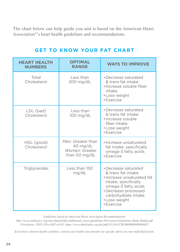The chart below can help guide you and is based on the American Heart Association®'s heart health guidelines and recommendations.

| <b>HEART HEALTH</b><br><b>NUMBERS</b> | <b>OPTIMAL</b><br><b>RANGE</b>                                             | <b>WAYS TO IMPROVE</b>                                                                                                                                                                                |
|---------------------------------------|----------------------------------------------------------------------------|-------------------------------------------------------------------------------------------------------------------------------------------------------------------------------------------------------|
| Total<br>Cholesterol                  | Less than<br>$200$ mg/dL                                                   | • Decrease saturated<br>& trans fat intake<br>· Increase soluble fiber<br>intake<br>• Lose weight<br>• Exercise                                                                                       |
| LDL (bad)<br>Cholesterol              | Less than<br>$100$ mg/dL                                                   | • Decrease saturated<br>& trans fat intake<br>· Increase soluble<br>fiber intake<br>• Lose weight<br>• Exercise                                                                                       |
| HDL (good)<br>Cholesterol             | Men: Greater than<br>$40 \text{ mg/dL}$<br>Women: Greater<br>than 50 mg/dL | · Increase unsaturated<br>fat intake, specifically<br>omega-3 fatty acids<br>· Exercise                                                                                                               |
| Triglycerides                         | Less than 150<br>mg/dL                                                     | · Decrease saturated<br>& trans fat intake<br>· Increase unsaturated fat<br>intake, specifically<br>omega-3 fatty acids<br>• Decrease processed<br>carbohydrate intake<br>• Lose weight<br>• Exercise |

#### **GET TO KNOW YOUR FAT CHART**

*Guidelines based on American Heart Association Recommendations*

*http://www.onlinejacc.org/sites/default/files/additional\_assets/guidelines/Prevention-Guidelines-Made-Simple.pdf Circulation. 2019;139:e1082-e1143- https://www.ahaGuides.org/doi/pdf/10.1161/CIR.0000000000000625*

*If you have a known health condition, consult your health care provider for specific advice on your individual needs.*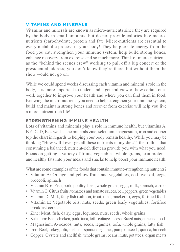#### **VITAMINS AND MINERALS**

Vitamins and minerals are known as micro-nutrients since they are required by the body in small amounts, but do not provide calories like macronutrients (carbohydrate, protein and fat). Micro-nutrients are essential to every metabolic process in your body! They help create energy from the food you eat, strengthen your immune system, help build strong bones, enhance recovery from exercise and so much more. Think of micro-nutrients as the "behind the scenes crew" working to pull off a big concert or the presidential address; you don't know they're there, but without them the show would not go on.

While we could spend weeks discussing each vitamin and mineral's role in the body, it is more important to understand a general view of how certain ones work together to improve your health and where you can find them in food. Knowing the micro-nutrients you need to help strengthen your immune system, build and maintain strong bones and recover from exercise will help you live a more nutrient-rich life!

#### **STRENGTHENING IMMUNE HEALTH**

Lots of vitamins and minerals play a role in immune health, but vitamins A, B-6, C, D, E as well as the minerals zinc, selenium, magnesium, iron and copper top the chart in regards to helping your body remain healthy. While you may be thinking "How will I ever get all these nutrients in my diet?", the truth is that consuming a balanced, nutrient-rich diet can provide you with what you need. Focus on getting a variety of fruits, vegetables, whole grains, lean proteins and healthy fats into your meals and snacks to help boost your immune health.

What are some examples of the foods that contain immune-strengthening nutrients?

- Vitamin A: Orange and yellow fruits and vegetables, cod liver oil, eggs, broccoli, spinach
- Vitamin B–6: Fish, pork, poultry, beef, whole grains, eggs, milk, spinach, carrots
- Vitamin C: Citrus fruits, tomatoes and tomato sauces, bell peppers, green vegetables
- Vitamin D: Milk, fatty fish (salmon, trout, tuna, mackerel), eggs, fortified foods
- Vitamin E: Vegetable oils, nuts, seeds, green leafy vegetables, fortified breakfast cereals
- Zinc: Meat, fish, dairy, eggs, legumes, nuts, seeds, whole grains
- Selenium: Beef, chicken, pork, tuna, tofu, cottage cheese, Brazil nuts, enriched foods
- Magnesium: Avocados, nuts, seeds, legumes, tofu, whole grains, fatty fish
- Iron: Beef, turkey, tofu, shellfish, spinach, legumes, pumpkin seeds, quinoa, broccoli
- Copper: Oysters and shellfish, whole grains, beans, nuts, potatoes, organ meats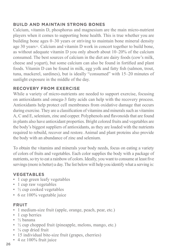#### **BUILD AND MAINTAIN STRONG BONES**

Calcium, vitamin D, phosphorus and magnesium are the main micro-nutrient players when it comes to supporting bone health. This is true whether you are building bone ages 0–30 years or striving to maintain bone mineral density age 30 years+. Calcium and vitamin D work in concert together to build bone, as without adequate vitamin D you only absorb about 10–20% of the calcium consumed. The best sources of calcium in the diet are dairy foods (cow's milk, cheese and yogurt), but some calcium can also be found in fortified and plant foods. Vitamin D can be found in milk, egg yolk and fatty fish (salmon, trout, tuna, mackerel, sardines), but is ideally "consumed" with 15–20 minutes of sunlight exposure in the middle of the day.

#### **RECOVERY FROM EXERCISE**

While a variety of micro-nutrients are needed to support exercise, focusing on antioxidants and omega-3 fatty acids can help with the recovery process. Antioxidants help protect cell membranes from oxidative damage that occurs during exercise. They are a classification of vitamins and minerals such as vitamins A, C and E, selenium, zinc and copper. Polyphenols and flavonoids that are found in plants also have antioxidant properties. Bright colored fruits and vegetables are the body's biggest suppliers of antioxidants, as they are loaded with the nutrients required to rebuild, recover and restore. Animal and plant proteins also provide the body with an abundance of zinc and selenium.

To obtain the vitamins and minerals your body needs, focus on eating a variety of colors of fruits and vegetables. Each color supplies the body with a package of nutrients, so try to eat a rainbow of colors. Ideally, you want to consume at least five servings (more is better) a day. The list below will help you identify what a serving is:

#### **VEGETABLES**

- 1 cup green leafy vegetables
- 1 cup raw vegetables
- $\cdot$   $\frac{1}{2}$  cup cooked vegetables
- 6 oz 100% vegetable juice

#### **FRUIT**

- 1 medium-size fruit (apple, orange, peach, pear, etc.)
- 1 cup berries
- ½ banana
- $\cdot$   $\frac{1}{2}$  cup chopped fruit (pineapple, melons, mango, etc.)
- $\cdot$   $\frac{1}{4}$  cup dried fruit
- 15 individual bite-size fruit (grapes, cherries)
- 4 oz 100% fruit juice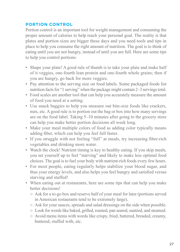#### **PORTION CONTROL**

Portion control is an important tool for weight management and consuming the proper amount of calories to help reach your personal goal. The reality is that plates and portion sizes are bigger these days and you need tools and tips in place to help you consume the right amount of nutrition. The goal is to think of eating until you are not hungry, instead of until you are full. Here are some tips to help you control portions:

- Shape your plate! A good rule of thumb is to take your plate and make half of it veggies, one-fourth lean protein and one-fourth whole grains; then if you are hungry, go back for more veggies.
- Pay attention to the serving size on food labels. Some packaged foods list nutrition facts for "1 serving" when the package might contain 2–3 servings total.
- Food scales are another tool that can help you accurately measure the amount of food you need at a setting.
- Use snack baggies to help you measure out bite-size foods like crackers, nuts, etc. A good rule is to portion out the bag or box into how many servings are on the food label. Taking 5–10 minutes after going to the grocery store can help you make better portion decisions all week long.
- Make your meal multiple colors of food as adding color typically means adding fiber, which can help you feel full faster.
- If you struggle with not feeling "full" at meals, try increasing fiber-rich vegetables and drinking more water.
- Watch the clock! Nutrient timing is key to healthy eating. If you skip meals, you set yourself up to feel "starving" and likely to make less optimal food choices. The goal is to fuel your body with nutrient-rich foods every few hours.
- For most people, eating regularly helps stabilize your blood sugar, and thus your energy levels, and also helps you feel hungry and satisfied versus starving and stuffed!
- When eating out at restaurants, here are some tips that can help you make better decisions!
	- Ask for a to-go box and reserve half of your meal for later (portions served in American restaurants tend to be extremely large).
	- Ask for your sauces, spreads and salad dressings on the side when possible.
	- Look for words like baked, grilled, roasted, pan seared, sautéed, and steamed.
	- Avoid menu items with words like crispy, fried, battered, breaded, creamy, buttered, stuffed with, etc.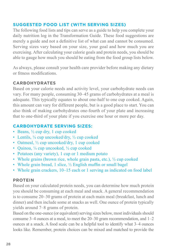#### **SUGGESTED FOOD LIST (WITH SERVING SIZES)**

The following food lists and tips can serve as a guide to help you complete your daily nutrition log in the Transformation Guide. These food suggestions are merely a guide and not a definitive list of what can and cannot be consumed. Serving sizes vary based on your size, your goal and how much you are exercising. After calculating your calorie goals and protein needs, you should be able to gauge how much you should be eating from the food group lists below.

As always, please consult your health care provider before making any dietary or fitness modifications.

#### **CARBOHYDRATES**

Based on your calorie needs and activity level, your carbohydrate needs can vary. For many people, consuming 30–45 grams of carbohydrates at a meal is adequate. This typically equates to about one-half to one cup cooked. Again, this amount can vary for different people, but is a good place to start. You can also think of making carbohydrates one-fourth of your plate and increasing that to one-third of your plate if you exercise one hour or more per day.

#### **CARBOHYDRATE SERVING SIZES:**

- Beans,  $\frac{1}{2}$  cup dry, 1 cup cooked
- Lentils,  $\frac{1}{4}$  cup uncooked/dry,  $\frac{1}{2}$  cup cooked
- Oatmeal,  $\frac{1}{2}$  cup uncooked/dry, 1 cup cooked
- Quinoa,  $\frac{1}{4}$  cup uncooked,  $\frac{1}{2}$  cup cooked
- Potatoes (any variety), 1 cup or 1 medium potato
- Whole grains (brown rice, whole grain pasta, etc.),  $\frac{1}{2}$  cup cooked
- Whole grain bread, 1 slice,  $\frac{1}{2}$  English muffin or small bagel
- Whole grain crackers, 10–15 each or 1 serving as indicated on food label

#### **PROTEIN**

Based on your calculated protein needs, you can determine how much protein you should be consuming at each meal and snack. A general recommendation is to consume 20–30 grams of protein at each main meal (breakfast, lunch and dinner) and then include some at snacks as well. One ounce of protein typically yields around 7–8 grams of protein.

Based on the one-ounce (or equivalent) serving sizes below, most individuals should consume 3–4 ounces at a meal, to meet the 20–30 gram recommendation, and 1–2 ounces at a snack. A food scale can be a helpful tool to identify what 3–4 ounces looks like. Remember, protein choices can be mixed and matched to provide the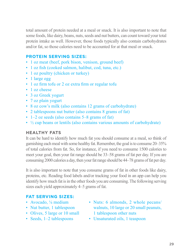total amount of protein needed at a meal or snack. It is also important to note that some foods, like dairy, beans, nuts, seeds and nut butters, can count toward your total protein intake as well. However, those foods typically also contain carbohydrates and/or fat, so those calories need to be accounted for at that meal or snack.

#### **PROTEIN SERVING SIZES:**

- 1 oz meat (beef, pork bison, venison, ground beef)
- 1 oz fish (cooked salmon, halibut, cod, tuna, etc.)
- 1 oz poultry (chicken or turkey)
- 1 large egg
- 1 oz firm tofu or 2 oz extra firm or regular tofu
- 1 oz cheese
- 3 oz Greek yogurt
- 7 oz plain yogurt
- 8 oz cow's milk (also contains 12 grams of carbohydrate)
- 2 tablespoons nut butter (also contains 8 grams of fat)
- 1–2 oz seeds (also contains 5–8 grams of fat)
- $\cdot$   $\frac{1}{2}$  cup beans or lentils (also contains various amounts of carbohydrate)

#### **HEALTHY FATS**

It can be hard to identify how much fat you should consume at a meal, so think of garnishing each meal with some healthy fat. Remember, the goal is to consume 20–35% of total calories from fat. So, for instance, if you need to consume 1500 calories to meet your goal, then your fat range should be 33–58 grams of fat per day. If you are consuming 2000 calories a day, then your fat range should be 44–78 grams of fat per day.

It is also important to note that you consume grams of fat in other foods like dairy, proteins, etc. Reading food labels and/or tracking your food in an app can help you identify how much fat is in the other foods you are consuming. The following serving sizes each yield approximately 4–5 grams of fat.

#### **FAT SERVING SIZES:**

- Avocado, 1/<sub>8</sub> medium
- Nut butter, 1 tablespoon
- Olives, 5 large or 10 small
- Seeds, 1–2 tablespoons
- Nuts: 6 almonds, 2 whole pecans/ walnuts, 10 large or 20 small peanuts, 1 tablespoon other nuts
- Unsaturated oils, 1 teaspoon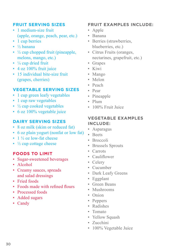#### **FRUIT SERVING SIZES**

- 1 medium-size fruit (apple, orange, peach, pear, etc.)
- 1 cup berries
- ½ banana
- $\cdot$   $\frac{1}{2}$  cup chopped fruit (pineapple, melons, mango, etc.)
- $\cdot$   $\frac{1}{4}$  cup dried fruit
- 4 oz 100% fruit juice
- 15 individual bite-size fruit (grapes, cherries)

#### **VEGETABLE SERVING SIZES**

- 1 cup green leafy vegetables
- 1 cup raw vegetables
- $\cdot$   $\frac{1}{2}$  cup cooked vegetables
- 6 oz 100% vegetable juice

#### **DAIRY SERVING SIZES**

- 8 oz milk (skim or reduced fat)
- 6 oz plain yogurt (nonfat or low fat)
- $\cdot$  1  $\frac{1}{2}$  oz low-fat cheese
- $\frac{1}{2}$  cup cottage cheese

#### **FOODS TO LIMIT**

- Sugar-sweetened beverages
- Alcohol
- Creamy sauces, spreads and salad dressings
- Fried foods
- Foods made with refined flours
- Processed foods
- Added sugars
- Candy

#### **FRUIT EXAMPLES INCLUDE:**

- Apple
- Banana
- Berries (strawberries, blueberries, etc.)
- Citrus Fruits (oranges, nectarines, grapefruit, etc.)
- Grapes
- Kiwi
- Mango
- Melon
- Peach
- Pear
- Pineapple
- Plum
- 100% Fruit Juice

#### **VEGETABLE EXAMPLES INCLUDE:**

- Asparagus
- Beets
- Broccoli
- Brussels Sprouts
- Carrots
- Cauliflower
- Celery
- Cucumber
- Dark Leafy Greens
- Eggplant
- Green Beans
- Mushrooms
- Onion
- Peppers
- Radishes
- Tomato
- Yellow Squash
- Zucchini
- 100% Vegetable Juice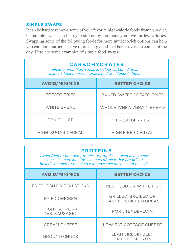#### **SIMPLE SWAPS**

It can be hard to remove some of your favorite high-calorie foods from your diet, but simple swaps can help you still enjoy the foods you love for less calories. Swapping some of the following foods for more nutrient-rich options can help you eat more nutrients, have more energy and feel better over the course of the day. Here are some examples of simple food swaps:

| <b>CARBOHYDRATES</b><br>Avoid or limit high-sugar, low fiber carbohydrates.<br>Instead, look for whole grains that are higher in fiber. |                                 |  |
|-----------------------------------------------------------------------------------------------------------------------------------------|---------------------------------|--|
| <b>AVOID/MINIMIZE</b>                                                                                                                   | <b>BETTER CHOICE</b>            |  |
| POTATO FRIES                                                                                                                            | <b>BAKED SWEET POTATO FRIES</b> |  |
| <b>WHITE BREAD</b>                                                                                                                      | WHOLE WHEAT/GRAIN BREAD         |  |
| <b>FRUIT JUICE</b>                                                                                                                      | <b>FRESH BERRIES</b>            |  |
| <b>HIGH-SUGAR CEREAL</b>                                                                                                                | <b>HIGH FIBER CEREAL</b>        |  |

#### **PROTEINS**

*Avoid fried or breaded proteins or proteins cooked in a creamy sauce. Instead, look for lean cuts of meat that are grilled, boiled, steamed or poached with no sauce or sauce on the side.*

| <b>AVOID/MINIMIZE</b>                 | <b>BETTER CHOICE</b>                                 |
|---------------------------------------|------------------------------------------------------|
| FRIED FISH OR FISH STICKS             | FRESH COD OR WHITE FISH                              |
| <b>FRIED CHICKEN</b>                  | <b>GRILLED, BROILED OR</b><br>POACHED CHICKEN BREAST |
| <b>HIGH-FAT PORK</b><br>(EX. SAUSAGE) | PORK TENDERLOIN                                      |
| <b>CREAM CHEESE</b>                   | <b>LOW-FAT COTTAGE CHEESE</b>                        |
| <b>GROUND CHUCK</b>                   | <b>LEAN SIRLOIN BEEF</b><br>OR FILET MIGNON          |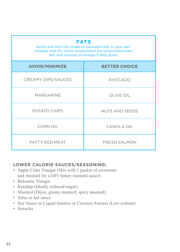| <b>FATS</b><br>Avoid and limit the intake of saturated fats in your diet.<br>Instead, look for mono-unsaturated and polyunsaturated<br>fats and sources of omega-3 fatty acids. |                       |  |
|---------------------------------------------------------------------------------------------------------------------------------------------------------------------------------|-----------------------|--|
| <b>AVOID/MINIMIZE</b>                                                                                                                                                           | <b>BETTER CHOICE</b>  |  |
| <b>CREAMY DIPS/SAUCES</b>                                                                                                                                                       | <b>AVOCADO</b>        |  |
| <b>MARGARINE</b>                                                                                                                                                                | OLIVE OIL             |  |
| POTATO CHIPS                                                                                                                                                                    | <b>NUTS AND SEEDS</b> |  |
| <b>CORN OIL</b>                                                                                                                                                                 | CANOLA OIL            |  |
| <b>FATTY RED MEAT</b>                                                                                                                                                           | <b>FRESH SALMON</b>   |  |

#### **LOWER CALORIE SAUCES/SEASONING:**

- Apple Cider Vinegar (Mix with 1 packet of sweetener and mustard for a DIY honey mustard sauce)
- Balsamic Vinegar
- Ketchup (Ideally reduced-sugar)
- Mustard (Dijon, grainy mustard, spicy mustard)
- Salsa or hot sauce
- Soy Sauce or Liquid Aminos or Coconut Aminos (Low-sodium)
- Sriracha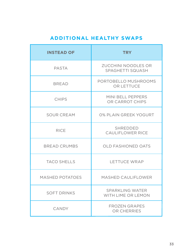#### **ADDITIONAL HEALTHY SWAPS**

| <b>INSTEAD OF</b>      | <b>TRY</b>                              |
|------------------------|-----------------------------------------|
| PASTA                  | ZUCCHINI NOODLES OR<br>SPAGHETTI SQUASH |
| <b>BREAD</b>           | PORTOBELLO MUSHROOMS<br>OR LETTUCE      |
| <b>CHIPS</b>           | MINI BELL PEPPERS<br>OR CARROT CHIPS    |
| SOUR CREAM             | 0% PLAIN GREEK YOGURT                   |
| <b>RICE</b>            | SHREDDED<br>CAULIFLOWER RICE            |
| <b>BREAD CRUMBS</b>    | <b>OLD FASHIONED OATS</b>               |
| <b>TACO SHELLS</b>     | <b>LETTUCE WRAP</b>                     |
| <b>MASHED POTATOES</b> | <b>MASHED CAULIFLOWER</b>               |
| <b>SOFT DRINKS</b>     | SPARKLING WATER<br>WITH LIME OR LEMON   |
| CANDY                  | <b>FROZEN GRAPES</b><br>OR CHERRIES     |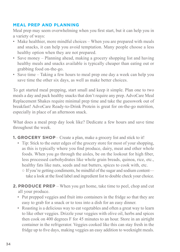#### **MEAL PREP AND PLANNING**

Meal prep may seem overwhelming when you first start, but it can help you in a variety of ways:

- Make healthier, more mindful choices When you are prepared with meals and snacks, it can help you avoid temptation. Many people choose a less healthy option when they are not prepared.
- Save money Planning ahead, making a grocery shopping list and having healthy meals and snacks available is typically cheaper than eating out or grabbing food on-the-go.
- Save time Taking a few hours to meal prep one day a week can help you save time the other six days, as well as make better choices.

To get started meal prepping, start small and keep it simple. Plan one to two meals a day and pack healthy snacks that don't require any prep. AdvoCare Meal Replacement Shakes require minimal prep time and take the guesswork out of breakfast! AdvoCare Ready-to-Drink Protein is great for on-the-go nutrition, especially in place of an afternoon snack.

What does a meal prep day look like? Dedicate a few hours and save time throughout the week.

- **1. GROCERY SHOP** Create a plan, make a grocery list and stick to it!
	- Tip: Stick to the outer edges of the grocery store for most of your shopping, as this is typically where you find produce, dairy, meat and other whole foods. When you go through the aisles, be on the lookout for high fiber, less processed carbohydrates like whole grain breads, quinoa, rice, etc., healthy fats like nuts, seeds and nut butters, spices to cook with, etc.
		- If you're getting condiments, be mindful of the sugar and sodium content take a look at the food label and ingredient list to double check your choice.
- **2. PRODUCE PREP** When you get home, take time to peel, chop and cut all your produce.
	- Put prepped veggies and fruit into containers in the fridge so that they are easy to grab for a snack or to toss into a dish for an easy dinner.
	- Roasting is a delicious way to eat vegetables and often a great way to learn to like other veggies. Drizzle your veggies with olive oil, herbs and spices then cook on 400 degrees F for 45 minutes to an hour. Store in an airtight container in the refrigerator. Veggies cooked like this can stay fresh in the fridge up to five days, making veggies an easy addition to weeknight meals.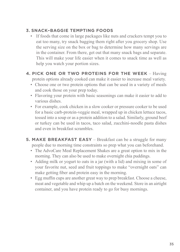# **3. SNACK–BAGGIE TEMPTING FOODS**

- If foods that come in large packages like nuts and crackers tempt you to eat too many, try snack bagging them right after you grocery shop. Use the serving size on the box or bag to determine how many servings are in the container. From there, get out that many snack bags and separate. This will make your life easier when it comes to snack time as well as help you watch your portion sizes.
- **4. PICK ONE OR TWO PROTEINS FOR THE WEEK** Having protein options already cooked can make it easier to increase meal variety.
	- Choose one or two protein options that can be used in a variety of meals and cook those on your prep today.
	- Flavoring your protein with basic seasonings can make it easier to add to various dishes.
	- For example, cook chicken in a slow cooker or pressure cooker to be used for a basic carb-protein-veggie meal, wrapped up in chicken lettuce tacos, tossed into a soup or as a protein addition to a salad. Similarly, ground beef or turkey can be used in tacos, taco salad, zucchini-noodle pasta dishes and even in breakfast scrambles.
- **5. MAKE BREAKFAST EASY** Breakfast can be a struggle for many people due to morning time constraints so prep what you can beforehand.
	- The AdvoCare Meal Replacement Shakes are a great option to mix in the morning. They can also be used to make overnight chia puddings.
	- Adding milk or yogurt to oats in a jar (with a lid) and mixing in some of your favorite nut, seed and fruit toppings to make "overnight oats" can make getting fiber and protein easy in the morning.
	- Egg muffin cups are another great way to prep breakfast. Choose a cheese, meat and vegetable and whip up a batch on the weekend. Store in an airtight container, and you have protein ready to go for busy mornings.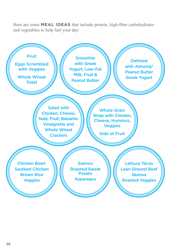Here are some **MEAL IDEAS** that include protein, high-fiber carbohydrates and vegetables to help fuel your day:

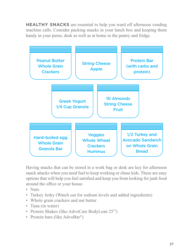**HEALTHY SNACKS** are essential to help you ward off afternoon vending machine calls. Consider packing snacks in your lunch box and keeping them handy in your purse, desk as well as at home in the pantry and fridge.



Having snacks that can be stored in a work bag or desk are key for afternoon snack attacks when you need fuel to keep working or chase kids. These are easy options that will help you feel satisfied and keep you from looking for junk food around the office or your house.

- Nuts
- Turkey Jerky (Watch out for sodium levels and added ingredients)
- Whole grain crackers and nut butter
- Tuna (in water)
- Protein Shakes (like AdvoCare BodyLean 25™)
- Protein bars (like AdvoBar<sup>®</sup>)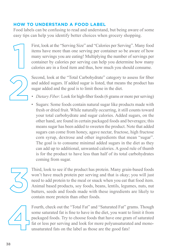# **HOW TO UNDERSTAND A FOOD LABEL**

Food labels can be confusing to read and understand, but being aware of some easy tips can help you identify better choices when grocery shopping.

> First, look at the "Serving Size" and "Calories per Serving". Many food items have more than one serving per container so be aware of how many servings you are eating! Multiplying the number of servings per container by calories per serving can help you determine how many calories are in a food item and thus, how much you should consume.

$$
\bigotimes
$$

Second, look at the "Total Carbohydrate" category to assess for fiber and added sugars. If added sugar is listed, that means the product has sugar added and the goal is to limit those in the diet.

- *• Dietary Fiber:* Look for high-fiber foods (6 grams or more per serving)
- Sugars: Some foods contain natural sugar like products made with fresh or dried fruit. While naturally occurring, it still counts toward your total carbohydrate and sugar calories. Added sugars, on the other hand, are found in certain packaged foods and beverages; this means sugar has been added to sweeten the product. Note that added sugars can come from honey, agave nectar, fructose, high fructose corn syrup, dextrose and other ingredients that mean "sugar". The goal is to consume minimal added sugars in the diet as they can add up to additional, unwanted calories. A good rule of thumb is for the product to have less than half of its total carbohydrates coming from sugar.

Third, look to see if the product has protein. Many grain-based foods won't have much protein per serving and that is okay; you will just need to add protein to the meal or snack when you eat that food item. Animal based products, soy foods, beans, lentils, legumes, nuts, nut butters, seeds and foods made with these ingredients are likely to contain more protein than other foods.

Fourth, check out the "Total Fat" and "Saturated Fat" grams. Though some saturated fat is fine to have in the diet, you want to limit it from packaged foods. Try to choose foods that have one gram of saturated fat or less per serving and look for more polyunsaturated and monounsaturated fats on the label as those are the good fats!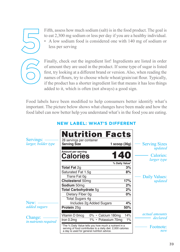

Fifth, assess how much sodium (salt) is in the food product. The goal is to eat 2,300 mg sodium or less per day if you are a healthy individual. • A low sodium food is considered one with 140 mg of sodium or less per serving

Finally, check out the ingredient list! Ingredients are listed in order of amount they are used in the product. If some type of sugar is listed first, try looking at a different brand or version. Also, when reading the names of flours, try to choose whole wheat/grain/oat flour. Typically, if the product has a shorter ingredient list that means it has less things added to it, which is often (not always) a good sign.

Food labels have been modified to help consumers better identify what's important. The picture below shows what changes have been made and how the food label can now better help you understand what's in the food you are eating.

| Servings:<br>larger, bolder type        | <b>Nutrition Facts</b><br>28 servings per container<br><b>Serving Size</b><br>1 $score(36g)$<br>Amount per serving<br>Calories                                      | <b>Serving Sizes</b><br>updated<br>Calories:<br><i>larger type</i> |
|-----------------------------------------|---------------------------------------------------------------------------------------------------------------------------------------------------------------------|--------------------------------------------------------------------|
|                                         | % Daily Value*                                                                                                                                                      |                                                                    |
|                                         | Total Fat 2q                                                                                                                                                        | 3%                                                                 |
|                                         | Saturated Fat 1.5g                                                                                                                                                  | 8%                                                                 |
|                                         | Trans Fat 0q                                                                                                                                                        | Daily Values:                                                      |
|                                         | 17%<br>Cholesterol 50mg                                                                                                                                             | updated                                                            |
|                                         | Sodium 50mg                                                                                                                                                         | 2%                                                                 |
|                                         | Total Carbohydrate 5g                                                                                                                                               | 2%                                                                 |
|                                         | Dietary Fiber 0q                                                                                                                                                    | 0%                                                                 |
|                                         | <b>Total Sugars 4g</b>                                                                                                                                              |                                                                    |
| New:                                    | Includes 2g Added Sugars                                                                                                                                            | 4%                                                                 |
| added sugars                            | 50%<br>Protein 25g                                                                                                                                                  |                                                                    |
| Change:<br><i>in nutrients required</i> | Vitamin D 0mcg<br>0% · Calcium 180mg<br>Iron 0.2mg<br>1% · Potassium 70mg                                                                                           | <i>actual amounts</i><br>14%<br>declared<br>1%                     |
|                                         | *The % Daily Value tells you how much a nutrient in a<br>serving of food contributes to a daily diet. 2,000 calories<br>a day is used for general nutrition advice. | Footnote:<br>new                                                   |

# **NEW LABEL: WHAT'S DIFFERENT**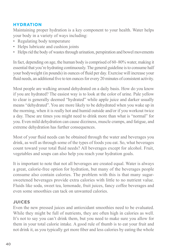# **HYDRATION**

Maintaining proper hydration is a key component to your health. Water helps your body in a variety of ways including:

- Regulating body temperature
- Helps lubricate and cushion joints
- Helps rid the body of wastes through urination, perspiration and bowel movements

In fact, depending on age, the human body is comprised of 60–80% water, making it essential that you're hydrating continuously. The general guideline is to consume half your bodyweight (in pounds) in ounces of fluid per day. Exercise will increase your fluid needs, an additional five to ten ounces for every 20 minutes of consistent activity.

Most people are walking around dehydrated on a daily basis. How do you know if you are hydrated? The easiest way is to look at the color of urine. Pale yellow to clear is generally deemed "hydrated" while apple juice and darker usually means "dehydrated". You are more likely to be dehydrated when you wake up in the morning, when it is really hot and humid outside and/or if you workout twice a day. These are times you might need to drink more than what is "normal" for you. Even mild dehydration can cause dizziness, muscle cramps, and fatigue, and extreme dehydration has further consequences.

Most of your fluid needs can be obtained through the water and beverages you drink, as well as through some of the types of foods you eat. So, what beverages count toward your total fluid needs? All beverages except for alcohol. Fruit, vegetables and soups can also help you reach your hydration goals.

It is important to note that not all beverages are created equal. Water is always a great, calorie-free option for hydration, but many of the beverages people consume also contain calories. The problem with this is that many sugarsweetened beverages provide extra calories with little to no nutrient value. Fluids like soda, sweet tea, lemonade, fruit juices, fancy coffee beverages and even some smoothies can tack on unwanted calories.

# **JUICES**

Even the new pressed juices and antioxidant smoothies need to be evaluated. While they might be full of nutrients, they are often high in calories as well. It's not to say you can't drink them, but you need to make sure you allow for them in your total calorie intake. A good rule of thumb is to eat your fruit and not drink it, as you typically get more fiber and less calories by eating the whole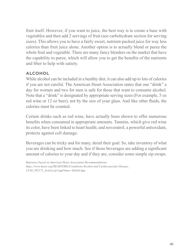fruit itself. However, if you want to juice, the best way is to create a base with vegetables and then add 2 servings of fruit (see carbohydrate section for serving sizes). This allows you to have a fairly sweet, nutrient-packed juice for way less calories than fruit juice alone. Another option is to actually blend or puree the whole fruit and vegetable. There are many fancy blenders on the market that have the capability to puree, which will allow you to get the benefits of the nutrients and fiber to help with satiety.

# **ALCOHOL**

While alcohol can be included in a healthy diet, it can also add up to lots of calories if you are not careful. The American Heart Association states that one "drink" a day for women and two for men is safe for those that want to consume alcohol. Note that a "drink" is designated by appropriate serving sizes (For example, 5 oz red wine or 12 oz beer), not by the size of your glass. And like other fluids, the calories must be counted.

Certain drinks such as red wine, have actually been shown to offer numerous benefits when consumed in appropriate amounts. Tannins, which give red wine its color, have been linked to heart health; and resveratrol, a powerful antioxidant, protects against cell damage.

Beverages can be tricky and for many, derail their goal. So, take inventory of what you are drinking and how much. See if those beverages are adding a significant amount of calories to your day and if they are, consider some simple sip swaps.

*Reference based on American Heart Association Recommendations https://www.heart.org/HEARTORG/Conditions/Alcohol-and-Cardiovascular-Disease\_ UCM\_305173\_Article.jsp?appName=MobileApp*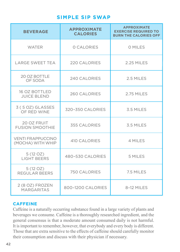# **SIMPLE SIP SWAP**

| <b>BEVERAGE</b>                               | <b>APPROXIMATE</b><br><b>CALORIES</b> | <b>APPROXIMATE</b><br><b>EXERCISE REQUIRED TO</b><br><b>BURN THE CALORIES OFF</b> |
|-----------------------------------------------|---------------------------------------|-----------------------------------------------------------------------------------|
| <b>WATER</b>                                  | O CALORIES                            | O MILES                                                                           |
| <b>LARGE SWEET TEA</b>                        | 220 CALORIES                          | <b>2.25 MILES</b>                                                                 |
| 20 OZ BOTTLE<br>OF SODA                       | <b>240 CALORIES</b>                   | 2.5 MILES                                                                         |
| <b>16 OZ BOTTLED</b><br><b>JUICE BLEND</b>    | <b>260 CALORIES</b>                   | 2.75 MILES                                                                        |
| 3 (5 OZ) GLASSES<br>OF RED WINE               | 320-350 CALORIES                      | 3.5 MILES                                                                         |
| 20 OZ FRUIT<br><b>FUSION SMOOTHIE</b>         | 355 CALORIES                          | 3.5 MILES                                                                         |
| <b>VENTI FRAPPUCCINO</b><br>(MOCHA) WITH WHIP | <b>410 CALORIES</b>                   | 4 MILES                                                                           |
| 5(12OZ)<br><b>LIGHT BEERS</b>                 | 480-530 CALORIES                      | 5 MILES                                                                           |
| 5(12OZ)<br>REGULAR BEERS                      | <b>750 CALORIES</b>                   | 7.5 MILES                                                                         |
| 2 (8 OZ) FROZEN<br><b>MARGARITAS</b>          | 800-1200 CALORIES                     | 8-12 MILES                                                                        |

### **CAFFEINE**

Caffeine is a naturally occurring substance found in a large variety of plants and beverages we consume. Caffeine is a thoroughly researched ingredient, and the general consensus is that a moderate amount consumed daily is not harmful. It is important to remember, however, that everybody and every body is different. Those that are extra sensitive to the effects of caffeine should carefully monitor their consumption and discuss with their physician if necessary.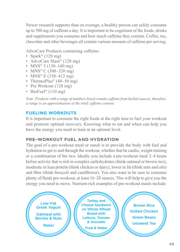Newer research supports than on average, a healthy person can safely consume up to 500 mg of caffeine a day. It is important to be cognizant of the foods, drinks and supplements you consume and how much caffeine they contain. Coffee, tea, chocolate and other beverages all contain various amounts of caffeine per serving.

AdvoCare Products containing caffeine:

- Spark®  $(120 \text{ mg})$
- AdvoCare Slam<sup>®</sup> (120 mg)
- MNS<sup>®</sup> 3 (130–160 mg)
- MNS<sup>®</sup> C (300–320 mg)
- MNS<sup>®</sup> E (338–412 mg)
- ThermoPlus<sup>®</sup>  $(40-50$  mg)
- Pre Workout (120 mg)
- BioFuel<sup>®</sup> (110 mg)

*Note: Products with a range of numbers listed contain caffeine from herbal sources, therefore, a range is an approximation of the total caffeine content.*

# **FUELING WORKOUTS**

It is important to consume the right foods at the right time to fuel your workout and promote optimal recovery. Knowing what to eat and when can help you have the energy you need to train at an optimal level.

# **PRE–WORKOUT FUEL AND HYDRATION**

The goal of a pre-workout meal or snack is to provide the body with fuel and hydration to get to and through the workout, whether that be cardio, weight training or a combination of the two. Ideally you include a pre-workout meal 2–4 hours before activity that is rich in complex carbohydrates (think oatmeal or brown rice), moderate in lean protein (think chicken or dairy), lower in fat (think nuts and oils) and fiber (think broccoli and cauliflower). You also want to be sure to consume plenty of fluids pre-workout, at least 16–20 ounces. This will help to give you the energy you need to move. Nutrient-rich examples of pre-workout meals include:

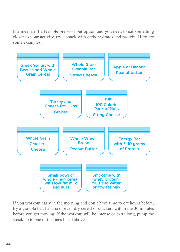If a meal isn't a feasible pre-workout option and you need to eat something closer to your activity, try a snack with carbohydrates and protein. Here are some examples:



If you workout early in the morning and don't have time to eat hours before, try a granola bar, banana or even dry cereal or crackers within the 30 minutes before you get moving. If the workout will be intense or extra long, pump the snack up to one of the ones listed above.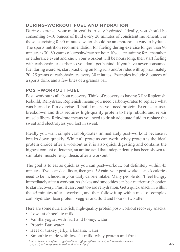# **DURING–WORKOUT FUEL AND HYDRATION**

During exercise, your main goal is to stay hydrated. Ideally, you should be consuming 5–10 ounces of fluid every 20 minutes of consistent movement. For those exercising 0–90 minutes, water should be an appropriate way to hydrate. The sports nutrition recommendation for fueling during exercise longer than 90 minutes is 30–60 grams of carbohydrate per hour. If you are training for a marathon or endurance event and know your workout will be hours long, then start fueling with carbohydrates earlier so you don't get behind. If you have never consumed fuel during exercise, start practicing on long runs and/or rides with approximately 20–25 grams of carbohydrates every 30 minutes. Examples include 8 ounces of a sports drink and a few bites of a granola bar.

# **POST–WORKOUT FUEL**

Post–workout is all about recovery. Think of recovery as having 3 Rs: Replenish, Rebuild, Rehydrate. Replenish means you need carbohydrates to replace what was burned off in exercise. Rebuild means you need protein. Exercise causes breakdown and thus requires high-quality protein to help rebuild and repair muscle fibers. Rehydrate means you need to drink adequate fluid to replace the sweat and electrolytes you lost in sweat.

Ideally you want simple carbohydrates immediately post-workout because it breaks down quickly. While all proteins can work, whey protein is the ideal protein choice after a workout as it is also quick digesting and contains the highest content of leucine, an amino acid that independently has been shown to stimulate muscle re-synthesis after a workout.†

The goal is to eat as quick as you can post-workout, but definitely within 45 minutes. If you can do it faster, then great! Again, your post-workout snack calories need to be included in your daily calorie intake. Many people don't feel hungry immediately after a workout, so shakes and smoothies can be a nutrient-rich option to start recovery. Plus, it can count toward rehydration. Get a quick snack in within the 45 minutes after a workout, and then follow it up with a meal of complex carbohydrates, lean protein, veggies and fluid and hour or two after.

Here are some nutrient-rich, high-quality protein post-workout recovery snacks:

- Low-fat chocolate milk
- Vanilla yogurt with fruit and honey, water
- Protein Bar, water
- Beef or turkey jerky, a banana, water
- Smoothie made with low-fat milk, whey protein and fruit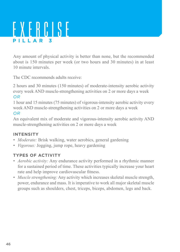# EXERCISE **PILLAR 3**

Any amount of physical activity is better than none, but the recommended about is 150 minutes per week (or two hours and 30 minutes) in at least 10 minute intervals.

The CDC recommends adults receive:

2 hours and 30 minutes (150 minutes) of moderate-intensity aerobic activity every week AND muscle-strengthening activities on 2 or more days a week *OR*

1 hour and 15 minutes (75 minutes) of vigorous-intensity aerobic activity every week AND muscle-strengthening activities on 2 or more days a week

# *OR*

An equivalent mix of moderate and vigorous-intensity aerobic activity AND muscle-strengthening activities on 2 or more days a week

# **INTENSITY**

- *• Moderate:* Brisk walking, water aerobics, general gardening
- *• Vigorous:* Jogging, jump rope, heavy gardening

# **TYPES OF ACTIVITY**

- *• Aerobic activity:* Any endurance activity performed in a rhythmic manner for a sustained period of time. These activities typically increase your heart rate and help improve cardiovascular fitness.
- *• Muscle strengthening:* Any activity which increases skeletal muscle strength, power, endurance and mass. It is imperative to work all major skeletal muscle groups such as shoulders, chest, triceps, biceps, abdomen, legs and back.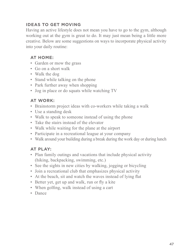# **IDEAS TO GET MOVING**

Having an active lifestyle does not mean you have to go to the gym, although working out at the gym is great to do. It may just mean being a little more creative. Below are some suggestions on ways to incorporate physical activity into your daily routine:

# **AT HOME:**

- Garden or mow the grass
- Go on a short walk
- Walk the dog
- Stand while talking on the phone
- Park further away when shopping
- Jog in place or do squats while watching TV

### **AT WORK:**

- Brainstorm project ideas with co-workers while taking a walk
- Use a standing desk
- Walk to speak to someone instead of using the phone
- Take the stairs instead of the elevator
- Walk while waiting for the plane at the airport
- Participate in a recreational league at your company
- Walk around your building during a break during the work day or during lunch

# **AT PLAY:**

- Plan family outings and vacations that include physical activity (hiking, backpacking, swimming, etc.)
- See the sights in new cities by walking, jogging or bicycling
- Join a recreational club that emphasizes physical activity
- At the beach, sit and watch the waves instead of lying flat
- Better yet, get up and walk, run or fly a kite
- When golfing, walk instead of using a cart
- Dance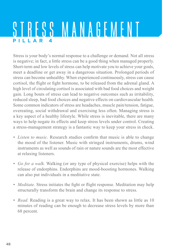# STRESS MANAGEMENT **PILLAR 4**

Stress is your body's normal response to a challenge or demand. Not all stress is negative; in fact, a little stress can be a good thing when managed properly. Short-term and low levels of stress can help motivate you to achieve your goals, meet a deadline or get away in a dangerous situation. Prolonged periods of stress can become unhealthy. When experienced continuously, stress can cause cortisol, the flight or fight hormone, to be released from the adrenal gland. A high level of circulating cortisol is associated with bad food choices and weight gain. Long bouts of stress can lead to negative outcomes such as irritability, reduced sleep, bad food choices and negative effects on cardiovascular health. Some common indicators of stress are headaches, muscle pain/tension, fatigue, overeating, social withdrawal and exercising less often. Managing stress is a key aspect of a healthy lifestyle. While stress is inevitable, there are many ways to help negate its effects and keep stress levels under control. Creating a stress-management strategy is a fantastic way to keep your stress in check.

- *• Listen to music.* Research studies confirm that music is able to change the mood of the listener. Music with stringed instruments, drums, wind instruments as well as sounds of rain or nature sounds are the most effective at relaxing listeners.
- *• Go for a walk.* Walking (or any type of physical exercise) helps with the release of endorphins. Endorphins are mood-boosting hormones. Walking can also put individuals in a meditative state.
- *• Meditate.* Stress initiates the fight or flight response. Meditation may help structurally transform the brain and change its response to stress.
- *• Read.* Reading is a great way to relax. It has been shown as little as 10 minutes of reading can be enough to decrease stress levels by more than 68 percent.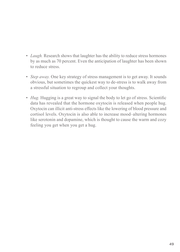- *• Laugh.* Research shows that laughter has the ability to reduce stress hormones by as much as 70 percent. Even the anticipation of laughter has been shown to reduce stress.
- *• Step away.* One key strategy of stress management is to get away. It sounds obvious, but sometimes the quickest way to de-stress is to walk away from a stressful situation to regroup and collect your thoughts.
- *• Hug.* Hugging is a great way to signal the body to let go of stress. Scientific data has revealed that the hormone oxytocin is released when people hug. Oxytocin can illicit anti-stress effects like the lowering of blood pressure and cortisol levels. Oxytocin is also able to increase mood–altering hormones like serotonin and dopamine, which is thought to cause the warm and cozy feeling you get when you get a hug.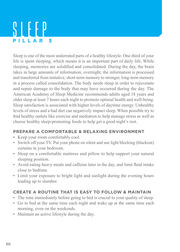# SLEEP **PILLAR 5**

Sleep is one of the most underrated parts of a healthy lifestyle. One-third of your life is spent sleeping, which means it is an important part of daily life. While sleeping, memories are solidified and consolidated. During the day, the brain takes in large amounts of information; overnight, the information is processed and transferred from tentative, short-term memory to stronger, long-term memory in a process called consolidation. The body needs sleep in order to rejuvenate and repair damage to the body that may have occurred during the day. The American Academy of Sleep Medicine recommends adults aged 18 years and older sleep at least 7 hours each night to promote optimal health and well-being. Sleep satisfaction is associated with higher levels of daytime energy. Unhealthy levels of stress and a bad diet can negatively impact sleep. When possible try to find healthy outlets like exercise and mediation to help manage stress as well as choose healthy sleep-promoting foods to help get a good night's rest.

# **PREPARE A COMFORTABLE & RELAXING ENVIRONMENT**

- Keep your room comfortably cool.
- Switch off your TV. Put your phone on silent and use light blocking (blackout) curtains in your bedroom.
- Sleep on a comfortable mattress and pillow to help support your natural sleeping position.
- Avoid eating heavy meals and caffeine later in the day, and limit fluid intake close to bedtime.
- Limit your exposure to bright light and sunlight during the evening hours leading up to slumber.

# **CREATE A ROUTINE THAT IS EASY TO FOLLOW & MAINTAIN**

- The time immediately before going to bed is crucial to your quality of sleep.
- Go to bed at the same time each night and wake up at the same time each morning, even on the weekends.
- Maintain an active lifestyle during the day.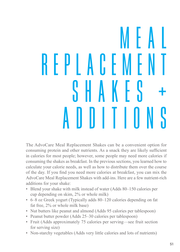# M E A L R E P L A C E M E N T S H A K F S ADDITIONS

The AdvoCare Meal Replacement Shakes can be a convenient option for consuming protein and other nutrients. As a snack they are likely sufficient in calories for most people; however, some people may need more calories if consuming the shakes as breakfast. In the previous sections, you learned how to calculate your calorie needs, as well as how to distribute them over the course of the day. If you find you need more calories at breakfast, you can mix the AdvoCare Meal Replacement Shakes with add-ins. Here are a few nutrient-rich additions for your shake:

- Blend your shake with milk instead of water (Adds 80–150 calories per cup depending on skim, 2% or whole milk)
- 6–8 oz Greek yogurt (Typically adds 80–120 calories depending on fat fat free, 2% or whole milk base)
- Nut butters like peanut and almond (Adds 95 calories per tablespoon)
- Peanut butter powder (Adds 25–30 calories per tablespoon)
- Fruit (Adds approximately 75 calories per serving—see fruit section for serving size)
- Non-starchy vegetables (Adds very little calories and lots of nutrients)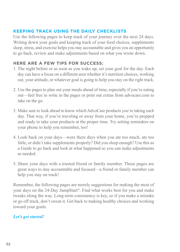# **KEEPING TRACK USING THE DAILY CHECKLISTS**

Use the following pages to keep track of your journey over the next 24 days. Writing down your goals and keeping track of your food choices, supplements sleep, stress, and exercise helps you stay accountable and gives you an opportunity to go back, review and make adjustments based on what you wrote down.

# **HERE ARE A FEW TIPS FOR SUCCESS:**

- 1. The night before or as soon as you wake up, set your goal for the day. Each day can have a focus on a different area whether it's nutrition choices, working out, your attitude, or whatever goal is going to help you stay on the right track.
- 2. Use the pages to plan out your meals ahead of time, especially if you're eating out—feel free to write in the pages or print out extras from advocare.com to take on the go.
- 3. Make sure to look ahead to know which AdvoCare products you're taking each day. That way, if you're traveling or away from your home, you're prepped and ready to take your products at the proper time. Try setting reminders on your phone to help you remember, too!
- 4. Look back on your days—were there days when you ate too much, ate too little, or didn't take supplements properly? Did you sleep enough? Use this as a Guide to go back and look at what happened so you can make adjustments as needed.
- 5. Share your days with a trusted friend or family member. These pages are great ways to stay accountable and focused—a friend or family member can help you stay on track!

Remember, the following pages are merely suggestions for making the most of your days on the 24-Day JumpStart®. Find what works best for you and make tweaks along the way. Long-term consistency is key, so if you make a mistake or go off track, don't sweat it. Get back to making healthy choices and working toward your goals.

# *Let's get started!*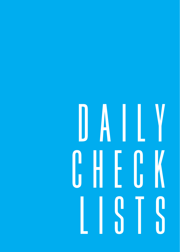# DAILY CHECK LISTS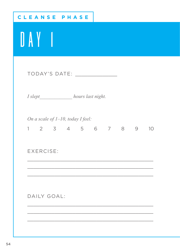| CLEANSE<br>PHASE                                             |  |  |  |
|--------------------------------------------------------------|--|--|--|
| DAY 1                                                        |  |  |  |
| TODAY'S DATE: _______________                                |  |  |  |
| I slept______________hours last night.                       |  |  |  |
| On a scale of $1-10$ , today I feel:<br>1 2 3 4 5 6 7 8 9 10 |  |  |  |
| EXERCISE:                                                    |  |  |  |
|                                                              |  |  |  |
| DAILY GOAL:                                                  |  |  |  |
|                                                              |  |  |  |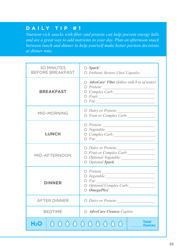*Nutrient-rich snacks with fiber and protein can help prevent energy lulls and are a great way to add nutrients to your day. Plan an afternoon snack between lunch and dinner to help yourself make better portion decisions at dinner time.*

| <b>30 MINUTES</b><br><b>BEFORE BREAKFAST</b>   | $\bigcirc$ Spark <sup>*</sup><br>O Probiotic Restore Ultra® Capsules                                                              |
|------------------------------------------------|-----------------------------------------------------------------------------------------------------------------------------------|
| <b>BREAKFAST</b>                               | $\bigcirc$ AdvoCare <sup>®</sup> Fiber (follow with 8 oz of water)<br>O Protein:<br>O Complex Carb:<br>$\circ$ Fruit:<br>$O$ Fat: |
| MID-MORNING                                    | O Dairy or Protein:<br>O Fruit or Complex Carb:                                                                                   |
| <b>LUNCH</b>                                   | $\bigcirc$ Protein:<br>O Complex Carb:<br>$O$ Fat:                                                                                |
| MID-AFTERNOON                                  | O Dairy or Protein:<br>O Fruit or Complex Carb:<br>O Optional Vegetable:<br>O Optional Spark                                      |
| <b>DINNER</b>                                  | $\bigcirc$ Protein:<br>$\bigcirc$ Fat:<br>O Optional Complex Carb:<br>$\bigcirc$ OmegaPlex <sup>®</sup>                           |
| <b>AFTER DINNER</b>                            | O Dairy or Protein:                                                                                                               |
| <b>BEDTIME</b>                                 | O AdvoCare Cleanse Caplets                                                                                                        |
| <b>Total</b><br>0000000000<br>H <sub>2</sub> 0 |                                                                                                                                   |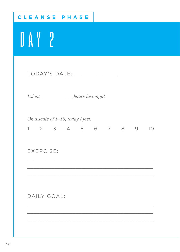| <b>CLEANSE PHASE</b>                                                                                                                                                                                                           |
|--------------------------------------------------------------------------------------------------------------------------------------------------------------------------------------------------------------------------------|
| UAY ?                                                                                                                                                                                                                          |
| TODAY'S DATE: Network of the state of the state of the state of the state of the state of the state of the state of the state of the state of the state of the state of the state of the state of the state of the state of th |
| I slept______________ hours last night.                                                                                                                                                                                        |
| On a scale of 1-10, today I feel:<br>1 2 3 4 5 6 7 8 9 10                                                                                                                                                                      |
| EXERCISE:                                                                                                                                                                                                                      |
|                                                                                                                                                                                                                                |
| DAILY GOAL:                                                                                                                                                                                                                    |
|                                                                                                                                                                                                                                |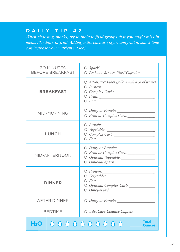*When choosing snacks, try to include food groups that you might miss in meals like dairy or fruit. Adding milk, cheese, yogurt and fruit to snack time can increase your nutrient intake!*

| <b>30 MINUTES</b><br><b>BEFORE BREAKFAST</b>   | $\bigcirc$ Spark <sup>*</sup><br>O Probiotic Restore Ultra® Capsules                                                                                                                                                                                                                           |
|------------------------------------------------|------------------------------------------------------------------------------------------------------------------------------------------------------------------------------------------------------------------------------------------------------------------------------------------------|
| <b>BREAKFAST</b>                               | $\bigcirc$ AdvoCare® Fiber (follow with 8 oz of water)                                                                                                                                                                                                                                         |
| MID-MORNING                                    | O Dairy or Protein:<br>O Fruit or Complex Carb:                                                                                                                                                                                                                                                |
| <b>LUNCH</b>                                   | $\bigcirc$ Protein:<br>$\bigcirc$ Vegetable:<br>O Complex Carb:<br>$O$ Fat:                                                                                                                                                                                                                    |
| MID-AFTFRNOON                                  | O Dairy or Protein:<br>O Fruit or Complex Carb:<br>O Optional Vegetable:<br>O Optional Spark                                                                                                                                                                                                   |
| <b>DINNER</b>                                  | $\bigcirc$ Protein:<br>$O$ <i>Fat:</i><br>$\mathcal{L}^{\mathcal{L}}(\mathcal{L}^{\mathcal{L}})$ and $\mathcal{L}^{\mathcal{L}}(\mathcal{L}^{\mathcal{L}})$ . Then, if $\mathcal{L}^{\mathcal{L}}(\mathcal{L}^{\mathcal{L}})$<br>O Optional Complex Carb:<br>$\bigcirc$ OmegaPlex <sup>®</sup> |
| <b>AFTER DINNER</b>                            | O Dairy or Protein:                                                                                                                                                                                                                                                                            |
| <b>BEDTIME</b>                                 | O AdvoCare Cleanse Caplets                                                                                                                                                                                                                                                                     |
| <b>Total</b><br>0000000000<br>H <sub>2</sub> O |                                                                                                                                                                                                                                                                                                |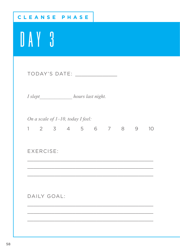| CLEANSE PHASE                                                |
|--------------------------------------------------------------|
| DAY 3                                                        |
| TODAY'S DATE: _______________                                |
| I slept______________hours last night.                       |
| On a scale of $1-10$ , today I feel:<br>1 2 3 4 5 6 7 8 9 10 |
| <b>EXERCISE:</b>                                             |
|                                                              |
| DAILY GOAL:                                                  |
|                                                              |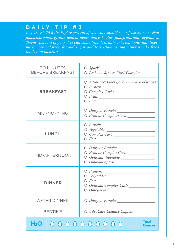*Live the 80/20 Rule. Eighty percent of your diet should come from nutrient-rich foods like whole grains, lean proteins, dairy, healthy fats, fruits and vegetables. Twenty percent of your diet can come from less nutrient-rich foods that likely have more calories, fat and sugar and less vitamins and minerals like fried foods and pastries.*

| <b>30 MINUTES</b><br><b>BEFORE BREAKFAST</b> |  | $\bigcirc$ Spark <sup>®</sup><br>O Probiotic Restore Ultra® Capsules                                                         |
|----------------------------------------------|--|------------------------------------------------------------------------------------------------------------------------------|
| <b>BREAKFAST</b>                             |  | $\bigcirc$ AdvoCare <sup>®</sup> Fiber (follow with 8 oz of water)<br>$O$ Fat:                                               |
| MID-MORNING                                  |  | O Dairy or Protein:<br>O Fruit or Complex Carb:                                                                              |
| <b>LUNCH</b>                                 |  | $\bigcirc$ Protein: $\qquad \qquad$<br>$\circ$ Vegetable:<br>$\circ$ Complex Carb:<br>$O$ <i>Fat:</i> $\qquad \qquad \qquad$ |
| MID-AFTERNOON                                |  | O Dairy or Protein:<br>O Fruit or Complex Carb:<br>O Optional Vegetable:<br>O Optional Spark                                 |
| <b>DINNER</b>                                |  | $\bigcirc$ Protein:<br>$O$ <i>Fat:</i><br>O Optional Complex Carb:<br>$O$ <i>OmegaPlex</i> <sup>*</sup>                      |
| <b>AFTER DINNER</b>                          |  | O Dairy or Protein:                                                                                                          |
| <b>BEDTIME</b>                               |  | O AdvoCare Cleanse Caplets                                                                                                   |
| <b>Total</b><br>0000000000<br>H2O            |  |                                                                                                                              |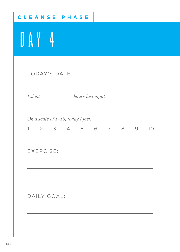| CLEANSE PHASE                                             |
|-----------------------------------------------------------|
| UAY 4                                                     |
|                                                           |
| I slept______________ hours last night.                   |
| On a scale of 1-10, today I feel:<br>1 2 3 4 5 6 7 8 9 10 |
| EXERCISE:                                                 |
|                                                           |
| DAILY GOAL:                                               |
|                                                           |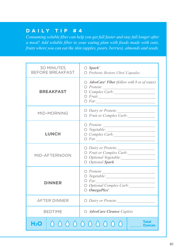*Consuming soluble fiber can help you get full faster and stay full longer after a meal! Add soluble fiber to your eating plan with foods made with oats, fruits where you can eat the skin (apples, pears, berries), almonds and seeds.* 

| <b>30 MINUTES</b><br><b>BEFORE BREAKFAST</b>   |  | $\bigcirc$ Spark <sup>*</sup><br>O Probiotic Restore Ultra® Capsules                                                         |
|------------------------------------------------|--|------------------------------------------------------------------------------------------------------------------------------|
| <b>BREAKFAST</b>                               |  | $\bigcirc$ AdvoCare* Fiber (follow with 8 oz of water)<br>O Protein:<br>O Complex Carb:<br>$\circ$ Fruit:<br>$O$ <i>Fat:</i> |
| MID-MORNING                                    |  | O Dairy or Protein:<br>O Fruit or Complex Carb:                                                                              |
| <b>LUNCH</b>                                   |  |                                                                                                                              |
| MID-AFTFRNOON                                  |  | O Dairy or Protein:<br>O Fruit or Complex Carb:<br>O Optional Vegetable:<br>O Optional Spark                                 |
| DINNER                                         |  | $\bigcirc$ Protein:<br>$O$ <i>Fat:</i><br>O Optional Complex Carb:<br>$\bigcirc$ OmegaPlex <sup>*</sup>                      |
| <b>AFTER DINNER</b>                            |  | O Dairy or Protein:                                                                                                          |
| <b>BEDTIME</b>                                 |  | O AdvoCare Cleanse Caplets                                                                                                   |
| <b>Total</b><br>0000000000<br>H <sub>2</sub> O |  |                                                                                                                              |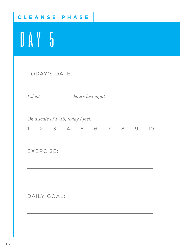| CLEANSE<br>PHASE                                             |
|--------------------------------------------------------------|
| UAY 5                                                        |
| TODAY'S DATE: NAMEL SERVICE                                  |
| I slept______________ hours last night.                      |
| On a scale of $1-10$ , today I feel:<br>1 2 3 4 5 6 7 8 9 10 |
| EXERCISE:                                                    |
|                                                              |
| DAILY GOAL:                                                  |
|                                                              |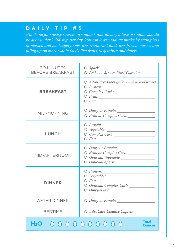*Watch out for sneaky sources of sodium! Your dietary intake of sodium should be at or under 2,300 mg. per day. You can lower sodium intake by eating less processed and packaged foods, less restaurant food, less frozen entrées and filling up on more whole foods like fruits, vegetables and dairy!*

| <b>30 MINUTES</b><br><b>BEFORE BREAKFAST</b> |  | $\bigcirc$ Spark <sup>*</sup><br>O Probiotic Restore Ultra® Capsules                                                         |
|----------------------------------------------|--|------------------------------------------------------------------------------------------------------------------------------|
| <b>BREAKFAST</b>                             |  | $\bigcirc$ AdvoCare* Fiber (follow with 8 oz of water)<br>O Protein:<br>O Complex Carb:<br>$\circ$ Fruit:<br>$O$ <i>Fat:</i> |
| MID-MORNING                                  |  | O Dairy or Protein:<br>O Fruit or Complex Carb:                                                                              |
| <b>LUNCH</b>                                 |  |                                                                                                                              |
| MID-AFTFRNOON                                |  | O Dairy or Protein:<br>O Fruit or Complex Carb:<br>O Optional Vegetable:<br>O Optional Spark                                 |
| DINNER                                       |  | $\bigcirc$ Protein:<br>$O$ <i>Fat:</i><br>O Optional Complex Carb:<br>$\bigcirc$ OmegaPlex <sup>*</sup>                      |
| <b>AFTER DINNER</b>                          |  | O Dairy or Protein:                                                                                                          |
| <b>BEDTIME</b>                               |  | O AdvoCare Cleanse Caplets                                                                                                   |
| H2O.                                         |  | <b>Total</b><br>0000000000<br><b>Ounces</b>                                                                                  |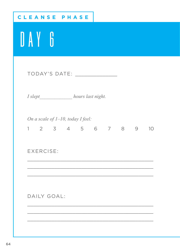| <b>CLEANSE PHASE</b>                                         |
|--------------------------------------------------------------|
| DAY 6                                                        |
|                                                              |
| I slept______________ hours last night.                      |
| On a scale of $1-10$ , today I feel:<br>1 2 3 4 5 6 7 8 9 10 |
| EXERCISE:                                                    |
|                                                              |
| DAILY GOAL:                                                  |
|                                                              |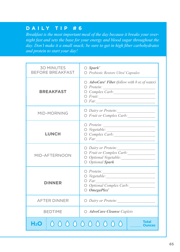*Breakfast is the most important meal of the day because it breaks your overnight fast and sets the base for your energy and blood sugar throughout the day. Don't make it a small snack; be sure to get in high fiber carbohydrates and protein to start your day!* 

| <b>30 MINUTES</b><br><b>BEFORE BREAKFAST</b> | $\bigcirc$ Spark <sup>®</sup><br>O Probiotic Restore Ultra® Capsules                                                    |
|----------------------------------------------|-------------------------------------------------------------------------------------------------------------------------|
| <b>BREAKFAST</b>                             | $\bigcirc$ AdvoCare* Fiber (follow with 8 oz of water)<br>$\circ$ Fruit:<br>$O$ Fat:                                    |
| MID-MORNING                                  | O Dairy or Protein:<br>O Fruit or Complex Carb:                                                                         |
| <b>LUNCH</b>                                 |                                                                                                                         |
| MID-AFTFRNOON                                | O Dairy or Protein:<br>O Fruit or Complex Carb:<br>O Optional Vegetable:<br>O Optional Spark                            |
| <b>DINNER</b>                                | $\bigcirc$ Protein:<br>$O$ Fat: $\qquad \qquad \qquad$<br>O Optional Complex Carb:<br>$\bigcirc$ OmegaPlex <sup>*</sup> |
| <b>AFTER DINNER</b>                          | O Dairy or Protein:                                                                                                     |
| <b>BEDTIME</b>                               | O AdvoCare Cleanse Caplets                                                                                              |
| H <sub>2</sub> O                             | <b>Total</b><br>0000000000<br>Ounces                                                                                    |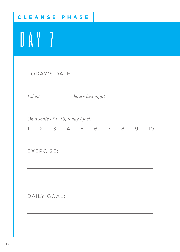| CLEANSE PHASE                                                |
|--------------------------------------------------------------|
| DAY 7                                                        |
| TODAY'S DATE: New York Canada American State Communications  |
| I slept______________ hours last night.                      |
| On a scale of 1-10, today I feel:<br>1 2 3 4 5 6 7 8 9<br>10 |
| <b>EXERCISE:</b>                                             |
|                                                              |
| DAILY GOAL:                                                  |
|                                                              |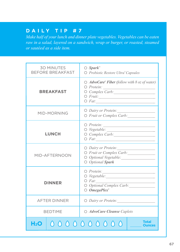*Make half of your lunch and dinner plate vegetables. Vegetables can be eaten raw in a salad, layered on a sandwich, wrap or burger, or roasted, steamed or sautéed as a side item.*

|                  | <b>30 MINUTES</b><br><b>BEFORE BREAKFAST</b> | $\bigcirc$ Spark <sup>®</sup><br>O Probiotic Restore Ultra® Capsules                                    |
|------------------|----------------------------------------------|---------------------------------------------------------------------------------------------------------|
|                  | <b>BREAKFAST</b>                             | $\bigcirc$ AdvoCare® Fiber (follow with 8 oz of water)<br>$\circ$ Fruit:<br>$O$ Fat:                    |
|                  | MID-MORNING                                  | O Dairy or Protein:<br>O Fruit or Complex Carb:                                                         |
|                  | <b>LUNCH</b>                                 | $O$ Fat:                                                                                                |
|                  | MID-AFTFRNOON                                | O Dairy or Protein:<br>O Fruit or Complex Carb:<br>O Optional Vegetable:<br>O Optional Spark            |
|                  | DINNER                                       | $\bigcirc$ Protein:<br>$\bigcirc$ Fat:<br>O Optional Complex Carb:<br>$\bigcirc$ OmegaPlex <sup>®</sup> |
|                  | <b>AFTER DINNER</b>                          | O Dairy or Protein:                                                                                     |
|                  | <b>BEDTIME</b>                               | O AdvoCare Cleanse Caplets                                                                              |
| H <sub>2</sub> O |                                              | <b>Total</b><br>0000000000                                                                              |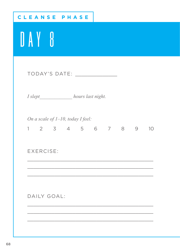| CLEANSE PHASE                                                     |
|-------------------------------------------------------------------|
| DAY 8                                                             |
|                                                                   |
| I slept______________ hours last night.                           |
| On a scale of $1-10$ , today I feel:<br>1 2 3 4 5 6 7 8 9<br>- 10 |
| <b>EXERCISE:</b>                                                  |
|                                                                   |
| DAILY GOAL:                                                       |
|                                                                   |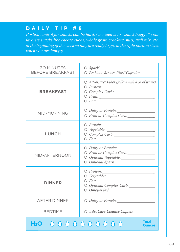*Portion control for snacks can be hard. One idea is to "snack baggie" your favorite snacks like cheese cubes, whole grain crackers, nuts, trail mix, etc. at the beginning of the week so they are ready to go, in the right portion sizes, when you are hungry.* 

|                  | <b>30 MINUTES</b><br><b>BEFORE BREAKFAST</b> | $\bigcirc$ Spark <sup>*</sup><br>O Probiotic Restore Ultra® Capsules                                                         |
|------------------|----------------------------------------------|------------------------------------------------------------------------------------------------------------------------------|
|                  | <b>BREAKFAST</b>                             | $\bigcirc$ AdvoCare* Fiber (follow with 8 oz of water)<br>O Protein:<br>O Complex Carb:<br>$\circ$ Fruit:<br>$O$ <i>Fat:</i> |
|                  | MID-MORNING                                  | O Dairy or Protein:<br>O Fruit or Complex Carb:                                                                              |
|                  | <b>LUNCH</b>                                 |                                                                                                                              |
|                  | MID-AFTFRNOON                                | O Dairy or Protein:<br>O Fruit or Complex Carb:<br>O Optional Vegetable:<br>O Optional Spark                                 |
|                  | DINNER                                       | $\bigcirc$ Protein:<br>$O$ <i>Fat:</i><br>O Optional Complex Carb:<br>$\bigcirc$ OmegaPlex <sup>*</sup>                      |
|                  | <b>AFTER DINNER</b>                          | O Dairy or Protein:                                                                                                          |
|                  | <b>BEDTIME</b>                               | O AdvoCare Cleanse Caplets                                                                                                   |
| H <sub>2</sub> O |                                              | <b>Total</b><br>0000000000                                                                                                   |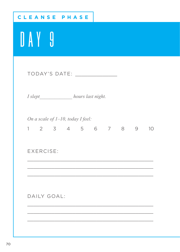| <b>CLEANSE PHASE</b>                                         |
|--------------------------------------------------------------|
| DAY 9                                                        |
| TODAY'S DATE: NAMEL SERVICE                                  |
| I slept______________ hours last night.                      |
| On a scale of $1-10$ , today I feel:<br>1 2 3 4 5 6 7 8 9 10 |
| <b>EXERCISE:</b>                                             |
|                                                              |
| DAILY GOAL:                                                  |
|                                                              |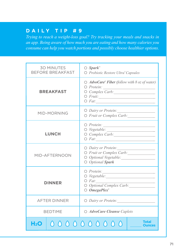*Trying to reach a weight-loss goal? Try tracking your meals and snacks in an app. Being aware of how much you are eating and how many calories you consume can help you watch portions and possibly choose healthier options.*

| <b>30 MINUTES</b><br><b>BEFORE BREAKFAST</b> | $\bigcirc$ Spark <sup>*</sup><br>O Probiotic Restore Ultra® Capsules                                      |  |  |  |
|----------------------------------------------|-----------------------------------------------------------------------------------------------------------|--|--|--|
| <b>BREAKFAST</b>                             | $\bigcirc$ AdvoCare® Fiber (follow with 8 oz of water)<br>O Protein:<br>O Complex Carb:<br>$\circ$ Fruit: |  |  |  |
| MID-MORNING                                  | O Dairy or Protein:<br>O Fruit or Complex Carb:                                                           |  |  |  |
| <b>LUNCH</b>                                 | $\circ$ Vegetable:<br>O Complex Carb:                                                                     |  |  |  |
| MID-AFTERNOON                                | O Dairy or Protein:<br>O Fruit or Complex Carb:<br>O Optional Vegetable:<br>O Optional Spark              |  |  |  |
| <b>DINNER</b>                                | $\bigcirc$ Protein:<br>$O$ <i>Fat:</i><br>O Optional Complex Carb:<br>$\bigcirc$ OmegaPlex <sup>®</sup>   |  |  |  |
| <b>AFTER DINNER</b>                          | O Dairy or Protein:                                                                                       |  |  |  |
| <b>BEDTIME</b>                               | O AdvoCare Cleanse Caplets                                                                                |  |  |  |
| H2O                                          | <b>Total</b><br>0000000000                                                                                |  |  |  |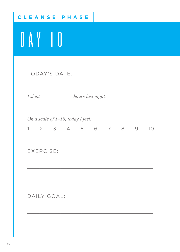| <b>CLEANSE PHASE</b>                                           |
|----------------------------------------------------------------|
| UAYO                                                           |
|                                                                |
| I slept______________ hours last night.                        |
| On a scale of 1-10, today I feel:<br>1 2 3 4 5 6 7 8 9<br>- 10 |
| EXERCISE:                                                      |
|                                                                |
| DAILY GOAL:                                                    |
|                                                                |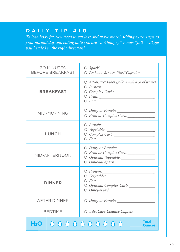*To lose body fat, you need to eat less and move more! Adding extra steps to your normal day and eating until you are "not hungry" versus "full" will get you headed in the right direction!*

| <b>30 MINUTES</b><br><b>BEFORE BREAKFAST</b> | $\bigcirc$ Spark <sup>*</sup><br>O Probiotic Restore Ultra® Capsules                                                       |  |  |  |
|----------------------------------------------|----------------------------------------------------------------------------------------------------------------------------|--|--|--|
| <b>BREAKFAST</b>                             | $\bigcirc$ AdvoCare* Fiber (follow with 8 oz of water)<br>$O$ Protein:<br>O Complex Carb:<br>$\circ$ Fruit:<br>$O \; Fat:$ |  |  |  |
| MID-MORNING                                  | O Dairy or Protein:<br>O Fruit or Complex Carb:                                                                            |  |  |  |
| <b>LUNCH</b>                                 | $\bigcirc$ Protein:<br>$\circ$ Vegetable:<br>O Complex Carb: 1997                                                          |  |  |  |
| MID-AFTERNOON                                | O Dairy or Protein:<br>O Fruit or Complex Carb:<br>O Optional Vegetable:<br>O Optional Spark                               |  |  |  |
| <b>DINNER</b>                                | $\bigcirc$ Protein:<br>$O$ <i>Fat:</i><br>O Optional Complex Carb:<br>$\bigcirc$ OmegaPlex <sup>®</sup>                    |  |  |  |
| <b>AFTER DINNER</b>                          | O Dairy or Protein:                                                                                                        |  |  |  |
| <b>BEDTIME</b>                               | O AdvoCare Cleanse Caplets                                                                                                 |  |  |  |
| H <sub>2</sub> 0                             | <b>Total</b><br>0000000000                                                                                                 |  |  |  |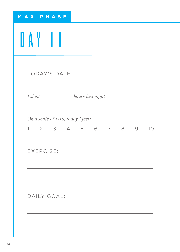|           | MAX PHASE                                                 |  |  |  |  |
|-----------|-----------------------------------------------------------|--|--|--|--|
| DAY II    |                                                           |  |  |  |  |
|           | TODAY'S DATE: _______________                             |  |  |  |  |
|           | I slept______________ hours last night.                   |  |  |  |  |
|           | On a scale of 1-10, today I feel:<br>1 2 3 4 5 6 7 8 9 10 |  |  |  |  |
| EXERCISE: |                                                           |  |  |  |  |
|           |                                                           |  |  |  |  |
|           | DAILY GOAL:                                               |  |  |  |  |
|           |                                                           |  |  |  |  |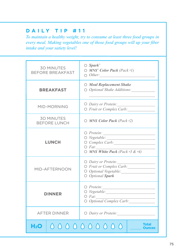*To maintain a healthy weight, try to consume at least three food groups in every meal. Making vegetables one of those food groups will up your fiber intake and your satiety level!*

| <b>30 MINUTES</b><br><b>BEFORE BREAKFAST</b> | $\bigcirc$ Spark <sup>*</sup><br>$\bigcirc$ MNS <sup>*</sup> Color Pack (Pack #1)<br>$\bigcirc$ Other: |  |  |  |
|----------------------------------------------|--------------------------------------------------------------------------------------------------------|--|--|--|
| <b>BREAKFAST</b>                             | O Meal Replacement Shake<br>$\bigcirc$ Optional Shake Additions:                                       |  |  |  |
| MID-MORNING                                  | O Dairy or Protein:<br>O Fruit or Complex Carb:                                                        |  |  |  |
| <b>30 MINUTES</b><br><b>BEFORE LUNCH</b>     | $\bigcirc$ MNS Color Pack (Pack #2)                                                                    |  |  |  |
| <b>LUNCH</b>                                 | $\bigcirc$ Protein:<br>$O$ <i>Fat:</i><br>$\bigcirc$ MNS White Pack (Pack #3 & #4)                     |  |  |  |
| MID-AFTERNOON                                | O Dairy or Protein:<br>O Fruit or Complex Carb:<br>O Optional Vegetable:<br>O Optional Spark           |  |  |  |
| <b>DINNER</b>                                | $O$ Protein:<br>$\bigcirc$ Vegetable:<br>$O$ <i>Fat:</i><br>O Optional Complex Carb:                   |  |  |  |
| <b>AFTER DINNER</b>                          | $\bigcirc$ Dairy or Protein:                                                                           |  |  |  |
| H2O                                          | <b>Total</b><br>0000000000<br><b>Ounces</b>                                                            |  |  |  |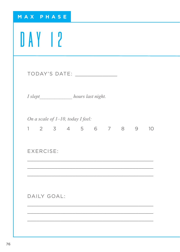| MAX PHASE                                                 |
|-----------------------------------------------------------|
| DAY 12                                                    |
| TODAY'S DATE: _______________                             |
| I slept______________ hours last night.                   |
| On a scale of 1-10, today I feel:<br>1 2 3 4 5 6 7 8 9 10 |
| EXERCISE:                                                 |
|                                                           |
| DAILY GOAL:                                               |
|                                                           |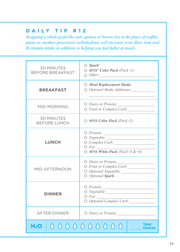*Swapping a whole grain like oats, quinoa or brown rice in the place of waffles, pasta or another processed carbohydrate will increase your fiber, iron and B-vitamin intake in addition to helping you feel fuller at meals.*

| <b>30 MINUTES</b><br><b>BEFORE BREAKFAST</b> | $\bigcirc$ Spark <sup>*</sup><br>$\bigcirc$ MNS <sup>*</sup> Color Pack (Pack #1)<br>$\bigcirc$ Other: |  |  |
|----------------------------------------------|--------------------------------------------------------------------------------------------------------|--|--|
| <b>BREAKFAST</b>                             | O Meal Replacement Shake<br>$\bigcirc$ Optional Shake Additions:                                       |  |  |
| MID-MORNING                                  | O Dairy or Protein:<br>O Fruit or Complex Carb:                                                        |  |  |
| <b>30 MINUTES</b><br><b>BEFORE LUNCH</b>     | $\bigcirc$ MNS Color Pack (Pack #2)                                                                    |  |  |
| <b>LUNCH</b>                                 | $\bigcirc$ Protein: $\qquad \qquad$<br>$O$ <i>Fat:</i><br>$\bigcirc$ MNS White Pack (Pack #3 & #4)     |  |  |
| MID-AFTFRNOON                                | O Dairy or Protein:<br>O Fruit or Complex Carb:<br>O Optional Vegetable:<br>O Optional Spark           |  |  |
| <b>DINNER</b>                                | $O$ Protein:<br>$\circ$ Vegetable:<br>$O$ <i>Fat:</i><br>O Optional Complex Carb:                      |  |  |
| <b>AFTER DINNER</b>                          | $\bigcirc$ Dairy or Protein:                                                                           |  |  |
| H2O                                          | 0000000000                                                                                             |  |  |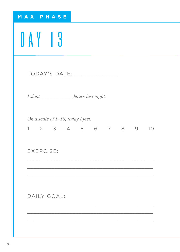| MAX PHASE                                                    |
|--------------------------------------------------------------|
| DAY 13                                                       |
| TODAY'S DATE: _______________                                |
| I slept______________ hours last night.                      |
| On a scale of $1-10$ , today I feel:<br>1 2 3 4 5 6 7 8 9 10 |
| <b>EXERCISE:</b>                                             |
|                                                              |
| DAILY GOAL:                                                  |
|                                                              |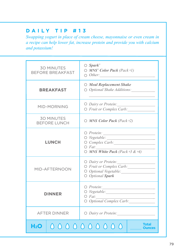*Swapping yogurt in place of cream cheese, mayonnaise or even cream in a recipe can help lower fat, increase protein and provide you with calcium and potassium!*

| <b>30 MINUTES</b><br><b>BEFORE BREAKFAST</b> | $\bigcirc$ Spark <sup>®</sup><br>$\bigcirc$ MNS <sup>*</sup> Color Pack (Pack #1)<br>$\bigcirc$ Other:                                                                                |  |  |
|----------------------------------------------|---------------------------------------------------------------------------------------------------------------------------------------------------------------------------------------|--|--|
| <b>BREAKFAST</b>                             | $\bigcirc$ Meal Replacement Shake<br>$\bigcirc$ Optional Shake Additions:                                                                                                             |  |  |
| MID-MORNING                                  | $\bigcirc$ Dairy or Protein:<br>O Fruit or Complex Carb:                                                                                                                              |  |  |
| <b>30 MINUTES</b><br><b>BEFORE LUNCH</b>     | $\bigcirc$ MNS Color Pack (Pack #2)                                                                                                                                                   |  |  |
| <b>LUNCH</b>                                 | $\bigcirc$ Protein:<br>$\bigcirc$ <i>Vegetable:</i><br>the control of the control of the control of<br>O Complex Carb:<br>$O$ <i>Fat:</i><br>$\bigcirc$ MNS White Pack (Pack #3 & #4) |  |  |
| MID-AFTERNOON                                | O Dairy or Protein:<br>O Fruit or Complex Carb:<br>O Optional Vegetable:<br>O Optional Spark                                                                                          |  |  |
| <b>DINNER</b>                                | $\bigcirc$ Protein:<br>O Vegetable:<br>$O$ <i>Fat:</i><br>O Optional Complex Carb:                                                                                                    |  |  |
| <b>AFTER DINNER</b>                          | O Dairy or Protein:                                                                                                                                                                   |  |  |
| H2O                                          | Total<br>0000000000<br>Ounces                                                                                                                                                         |  |  |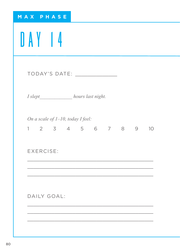| MAX PHASE                                                 |
|-----------------------------------------------------------|
| <b>DAY 14</b>                                             |
| TODAY'S DATE: _______________                             |
| I slept______________ hours last night.                   |
| On a scale of 1-10, today I feel:<br>1 2 3 4 5 6 7 8 9 10 |
| EXERCISE:                                                 |
|                                                           |
| DAILY GOAL:                                               |
|                                                           |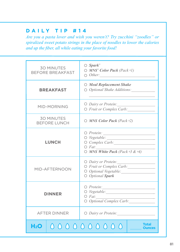*Are you a pasta lover and wish you weren't? Try zucchini "zoodles" or spiralized sweet potato strings in the place of noodles to lower the calories and up the fiber, all while eating your favorite food!*

| <b>30 MINUTES</b><br><b>BEFORE BREAKFAST</b> | $\bigcirc$ Spark <sup>*</sup><br>$\bigcirc$ MNS <sup>*</sup> Color Pack (Pack #1)<br>$\bigcirc$ Other: |  |  |
|----------------------------------------------|--------------------------------------------------------------------------------------------------------|--|--|
| <b>BREAKFAST</b>                             | $\bigcirc$ Meal Replacement Shake<br>$\bigcirc$ Optional Shake Additions:                              |  |  |
| MID-MORNING                                  | O Dairy or Protein:<br>O Fruit or Complex Carb:                                                        |  |  |
| <b>30 MINUTES</b><br><b>BEFORE LUNCH</b>     | $\bigcirc$ MNS Color Pack (Pack #2)                                                                    |  |  |
| <b>LUNCH</b>                                 | $\bigcirc$ Protein:<br>$O$ <i>Fat:</i><br>$\circ$ MNS White Pack (Pack #3 & #4)                        |  |  |
| MID-AFTFRNOON                                | O Dairy or Protein:<br>O Fruit or Complex Carb:<br>O Optional Vegetable:<br>O Optional Spark           |  |  |
| <b>DINNER</b>                                | $O$ Protein:<br>O Vegetable:<br>$O$ <i>Fat:</i><br>O Optional Complex Carb:                            |  |  |
| <b>AFTER DINNER</b>                          | $\bigcirc$ Dairy or Protein:                                                                           |  |  |
| H <sub>2</sub> O                             | <b>Total</b><br>0000000000                                                                             |  |  |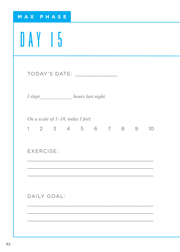| MAX PHASE                                                 |
|-----------------------------------------------------------|
| DAY 15                                                    |
| TODAY'S DATE: ________________                            |
| I slept_______________ hours last night.                  |
| On a scale of 1-10, today I feel:<br>1 2 3 4 5 6 7 8 9 10 |
| EXERCISE:                                                 |
|                                                           |
| DAILY GOAL:                                               |
|                                                           |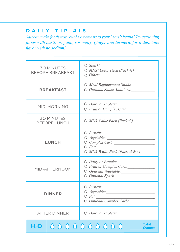*Salt can make foods tasty but be a nemesis to your heart's health! Try seasoning foods with basil, oregano, rosemary, ginger and turmeric for a delicious flavor with no sodium!*

| <b>30 MINUTES</b><br><b>BEFORE BREAKFAST</b> | $\bigcirc$ Spark <sup>*</sup><br>$\bigcirc$ MNS <sup>*</sup> Color Pack (Pack #1)<br>$\bigcirc$ Other:                                                                         |
|----------------------------------------------|--------------------------------------------------------------------------------------------------------------------------------------------------------------------------------|
| <b>BREAKFAST</b>                             | ○ Meal Replacement Shake<br>$\bigcirc$ Optional Shake Additions:                                                                                                               |
| MID-MORNING                                  | O Dairy or Protein:<br>O Fruit or Complex Carb:                                                                                                                                |
| <b>30 MINUTES</b><br><b>BEFORE LUNCH</b>     | $\bigcirc$ MNS Color Pack (Pack #2)                                                                                                                                            |
| <b>LUNCH</b>                                 | $\bigcirc$ Protein:<br>$\bigcirc$ Vegetable:<br>the control of the control of the control of<br>O Complex Carb:<br>$O$ <i>Fat:</i><br>$\bigcirc$ MNS White Pack (Pack #3 & #4) |
| MID-AFTFRNOON                                | O Dairy or Protein:<br>O Fruit or Complex Carb:<br>O Optional Vegetable:<br>O Optional Spark                                                                                   |
| <b>DINNER</b>                                | $\bigcirc$ Protein:<br>$O$ <i>Fat:</i><br>O Optional Complex Carb:                                                                                                             |
| <b>AFTER DINNER</b>                          | O Dairy or Protein:                                                                                                                                                            |
| H2O                                          | Total<br>0000000000                                                                                                                                                            |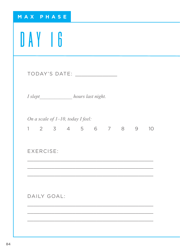| MAX PHASE                                                  |  |
|------------------------------------------------------------|--|
| DAY 16                                                     |  |
| TODAY'S DATE: _______________                              |  |
| I slept______________ hours last night.                    |  |
| On a scale of 1-10, today I feel:<br>1 2 3 4 5 6 7 8 9 10  |  |
| EXERCISE:                                                  |  |
| <u> 1989 - Johann Stoff, amerikansk politiker (* 1908)</u> |  |
| DAILY GOAL:                                                |  |
|                                                            |  |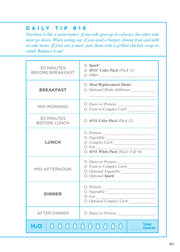*Nutrition is like a teeter-totter; if one side goes up in calories, the other side must go down. When eating out, if you need a burger, choose fruit and milk as side items. If fries are a must, pair them with a grilled chicken wrap or salad. Balance it out!* 

| <b>30 MINUTES</b><br><b>BEFORE BREAKFAST</b> | $\bigcirc$ Spark <sup>*</sup><br>$\bigcirc$ MNS <sup>*</sup> Color Pack (Pack #1)<br>$\bigcirc$ Other: |
|----------------------------------------------|--------------------------------------------------------------------------------------------------------|
| <b>BREAKFAST</b>                             | $\bigcirc$ Meal Replacement Shake<br>$\bigcirc$ Optional Shake Additions:                              |
| MID-MORNING                                  | O Dairy or Protein:<br>O Fruit or Complex Carb:                                                        |
| <b>30 MINUTES</b><br><b>BEFORE LUNCH</b>     | $\bigcirc$ MNS Color Pack (Pack #2)                                                                    |
| <b>LUNCH</b>                                 | $O$ <i>Fat:</i><br>$\bigcirc$ MNS White Pack (Pack #3 & #4)                                            |
| MID-AFTERNOON                                | O Dairy or Protein:<br>O Fruit or Complex Carb:<br>O Optional Vegetable:<br>O Optional Spark           |
| DINNER                                       | $\bigcirc$ Protein:<br>O Vegetable:<br>$O$ Fat:<br>O Optional Complex Carb:                            |
| <b>AFTER DINNER</b>                          | O Dairy or Protein:                                                                                    |
| H2O -                                        | <b>Total</b><br>0000000000                                                                             |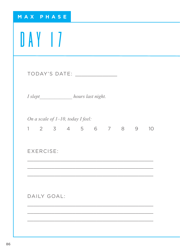| MAX PHASE                                                    |
|--------------------------------------------------------------|
| DAY 17                                                       |
| TODAY'S DATE: ________________                               |
| I slept_______________ hours last night.                     |
| On a scale of $1-10$ , today I feel:<br>1 2 3 4 5 6 7 8 9 10 |
| EXERCISE:                                                    |
|                                                              |
| DAILY GOAL:                                                  |
|                                                              |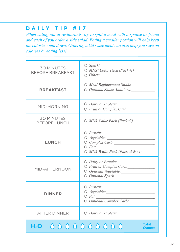*When eating out at restaurants, try to split a meal with a spouse or friend and each of you order a side salad. Eating a smaller portion will help keep the calorie count down! Ordering a kid's size meal can also help you save on calories by eating less!*

| <b>30 MINUTES</b><br><b>BEFORE BREAKFAST</b> | $\bigcirc$ Spark <sup>*</sup><br>$\bigcirc$ MNS <sup>*</sup> Color Pack (Pack #1)<br>$\bigcirc$ Other: |
|----------------------------------------------|--------------------------------------------------------------------------------------------------------|
| <b>BREAKFAST</b>                             | ○ Meal Replacement Shake<br>$\bigcirc$ Optional Shake Additions:                                       |
| MID-MORNING                                  | $O$ Dairy or Protein:<br>O Fruit or Complex Carb:                                                      |
| <b>30 MINUTES</b><br><b>BEFORE LUNCH</b>     | $\bigcirc$ MNS Color Pack (Pack #2)                                                                    |
| <b>LUNCH</b>                                 | $\bigcirc$ Protein:<br>$O$ <i>Fat:</i><br>$\circ$ MNS White Pack (Pack #3 & #4)                        |
| MID-AFTERNOON                                | O Dairy or Protein:<br>O Fruit or Complex Carb:<br>O Optional Vegetable:<br>O Optional Spark           |
| <b>DINNER</b>                                | $\bigcirc$ Protein:<br>$O$ Fat:<br>O Optional Complex Carb:                                            |
| <b>AFTER DINNER</b>                          | $\bigcirc$ Dairy or Protein:                                                                           |
| H2O -                                        | <b>Total</b><br>0000000000                                                                             |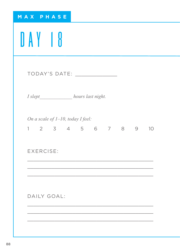| MAX PHASE                                                 |
|-----------------------------------------------------------|
| DAY 18                                                    |
| TODAY'S DATE: _______________                             |
| I slept______________ hours last night.                   |
| On a scale of 1-10, today I feel:<br>1 2 3 4 5 6 7 8 9 10 |
| EXERCISE:                                                 |
|                                                           |
| DAILY GOAL:                                               |
|                                                           |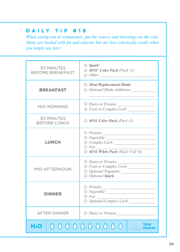*When eating out at restaurants, put the sauces and dressings on the side. Many are loaded with fat and calories but are less calorically costly when you simply use less!*

| <b>30 MINUTES</b><br><b>BEFORE BREAKFAST</b> | $\bigcirc$ Spark <sup>*</sup><br>$\bigcirc$ MNS <sup>*</sup> Color Pack (Pack #1)<br>$\bigcirc$ Other:                                         |
|----------------------------------------------|------------------------------------------------------------------------------------------------------------------------------------------------|
| <b>BREAKFAST</b>                             | $\bigcirc$ Meal Replacement Shake<br>$\bigcirc$ Optional Shake Additions:                                                                      |
| MID-MORNING                                  | O Dairy or Protein:<br>O Fruit or Complex Carb:                                                                                                |
| <b>30 MINUTES</b><br><b>BEFORE LUNCH</b>     | $\bigcirc$ MNS Color Pack (Pack #2)                                                                                                            |
| <b>LUNCH</b>                                 | $\bigcirc$ Protein: $\qquad \qquad$<br>$\circ$ Vegetable:<br>$\circ$ Complex Carb:<br>$O$ <i>Fat:</i><br>$\circ$ MNS White Pack (Pack #3 & #4) |
| MID-AFTERNOON                                | O Dairy or Protein:<br>O Fruit or Complex Carb:<br>O Optional Vegetable:<br>O Optional Spark                                                   |
| <b>DINNER</b>                                | $O$ Protein:<br>$O$ <i>Fat:</i><br>O Optional Complex Carb:                                                                                    |
| <b>AFTER DINNER</b>                          | $\bigcirc$ Dairy or Protein:                                                                                                                   |
| H2O                                          | <b>Total</b><br>0000000000<br><b>Ounces</b>                                                                                                    |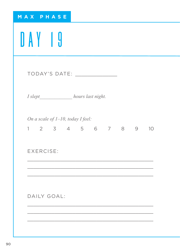| MAX PHASE                                                 |
|-----------------------------------------------------------|
| DAY 19                                                    |
| TODAY'S DATE: _______________                             |
| I slept______________ hours last night.                   |
| On a scale of 1-10, today I feel:<br>1 2 3 4 5 6 7 8 9 10 |
| EXERCISE:                                                 |
|                                                           |
| DAILY GOAL:                                               |
|                                                           |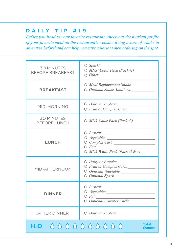*Before you head to your favorite restaurant, check out the nutrient profile of your favorite meal on the restaurant's website. Being aware of what's in an entrée beforehand can help you save calories when ordering on the spot.*

| <b>30 MINUTES</b><br><b>BEFORE BREAKFAST</b> | $\bigcirc$ Spark <sup>*</sup><br>$\bigcirc$ MNS <sup>*</sup> Color Pack (Pack #1)<br>$\bigcirc$ Other:                               |
|----------------------------------------------|--------------------------------------------------------------------------------------------------------------------------------------|
| <b>BREAKFAST</b>                             | $\bigcirc$ Meal Replacement Shake<br>$\bigcirc$ Optional Shake Additions:                                                            |
| MID-MORNING                                  | O Dairy or Protein:<br>O Fruit or Complex Carb:                                                                                      |
| <b>30 MINUTES</b><br><b>BEFORE LUNCH</b>     | $\bigcirc$ MNS Color Pack (Pack #2)                                                                                                  |
| <b>LUNCH</b>                                 | $\bigcirc$ Protein:<br>$\bigcirc$ Vegetable:<br>$\circ$ Complex Carb:<br>$O$ <i>Fat:</i><br>$\bigcirc$ MNS White Pack (Pack #3 & #4) |
| MID-AFTERNOON                                | O Dairy or Protein:<br>O Fruit or Complex Carb:<br>O Optional Vegetable:<br>O Optional Spark                                         |
| <b>DINNER</b>                                | $O$ Protein:<br>$O$ <i>Fat:</i><br>O Optional Complex Carb:                                                                          |
| <b>AFTER DINNER</b>                          | O Dairy or Protein:                                                                                                                  |
| H2O                                          | Total<br>0000000000                                                                                                                  |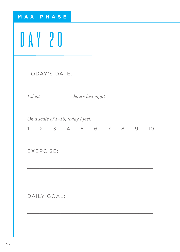| MAX PHASE                                                    |
|--------------------------------------------------------------|
| DAY 20                                                       |
| TODAY'S DATE: _______________                                |
| I slept______________ hours last night.                      |
| On a scale of $1-10$ , today I feel:<br>1 2 3 4 5 6 7 8 9 10 |
| EXERCISE:                                                    |
|                                                              |
| DAILY GOAL:                                                  |
|                                                              |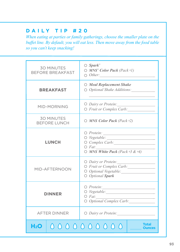*When eating at parties or family gatherings, choose the smaller plate on the buffet line. By default, you will eat less. Then move away from the food table so you can't keep snacking!*

| <b>30 MINUTES</b><br><b>BEFORE BREAKFAST</b> | $\bigcirc$ Spark <sup>*</sup><br>$\bigcirc$ MNS <sup>*</sup> Color Pack (Pack #1)            |
|----------------------------------------------|----------------------------------------------------------------------------------------------|
| <b>BREAKFAST</b>                             | ○ Meal Replacement Shake<br>$\bigcirc$ Optional Shake Additions:                             |
| MID-MORNING                                  | O Dairy or Protein:<br>O Fruit or Complex Carb:                                              |
| <b>30 MINUTES</b><br><b>BEFORE LUNCH</b>     | $\bigcirc$ MNS Color Pack (Pack #2)                                                          |
| <b>LUNCH</b>                                 | $\bigcirc$ Protein:<br>$O$ <i>Fat:</i><br>$\bigcirc$ MNS White Pack (Pack #3 & #4)           |
| MID-AFTERNOON                                | O Dairy or Protein:<br>O Fruit or Complex Carb:<br>O Optional Vegetable:<br>O Optional Spark |
| <b>DINNER</b>                                | $O$ Protein:<br>$\circ$ Vegetable:<br>$O$ <i>Fat:</i><br>O Optional Complex Carb:            |
| <b>AFTER DINNER</b>                          | O Dairy or Protein:                                                                          |
| H <sub>2</sub> O                             | <b>Total</b><br>0000000000<br><b>Ounces</b>                                                  |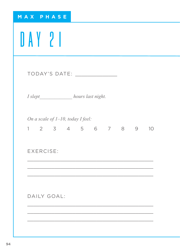| MAX PHASE                                                 |
|-----------------------------------------------------------|
| DAY 21                                                    |
| TODAY'S DATE: ______________                              |
| I slept______________ hours last night.                   |
| On a scale of 1-10, today I feel:<br>1 2 3 4 5 6 7 8 9 10 |
| EXERCISE:                                                 |
|                                                           |
| DAILY GOAL:                                               |
|                                                           |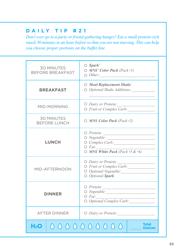*Don't ever go to a party or friend gathering hungry! Eat a small protein-rich snack 30 minutes to an hour before so that you are not starving. This can help you choose proper portions on the buffet line.*

| <b>30 MINUTES</b><br><b>BEFORE BREAKFAST</b> | $\bigcirc$ Spark <sup>*</sup><br>$\bigcirc$ MNS <sup>*</sup> Color Pack (Pack #1)<br>$\bigcirc$ Other: |  |  |
|----------------------------------------------|--------------------------------------------------------------------------------------------------------|--|--|
| <b>BREAKFAST</b>                             | O Meal Replacement Shake<br>$\bigcirc$ Optional Shake Additions:                                       |  |  |
| MID-MORNING                                  | O Dairy or Protein:<br>O Fruit or Complex Carb:                                                        |  |  |
| <b>30 MINUTES</b><br><b>BEFORE LUNCH</b>     | $\bigcirc$ MNS Color Pack (Pack #2)                                                                    |  |  |
| <b>LUNCH</b>                                 | $\bigcirc$ Protein: $\qquad \qquad$<br>$O$ <i>Fat:</i><br>$\bigcirc$ MNS White Pack (Pack #3 & #4)     |  |  |
| MID-AFTERNOON                                | O Dairy or Protein:<br>O Fruit or Complex Carb:<br>O Optional Vegetable:<br>O Optional Spark           |  |  |
| <b>DINNER</b>                                | $O$ Protein:<br>$\circ$ Vegetable:<br>$O$ <i>Fat:</i><br>O Optional Complex Carb:                      |  |  |
| <b>AFTER DINNER</b>                          | $\bigcirc$ Dairy or Protein:                                                                           |  |  |
| <b>Total</b><br>0000000000<br>H2O            |                                                                                                        |  |  |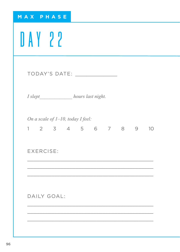| MAX PHASE                                                    |
|--------------------------------------------------------------|
| DAY 22                                                       |
| TODAY'S DATE: ________________                               |
| I slept______________ hours last night.                      |
| On a scale of $1-10$ , today I feel:<br>1 2 3 4 5 6 7 8 9 10 |
| EXERCISE:                                                    |
|                                                              |
| DAILY GOAL:                                                  |
|                                                              |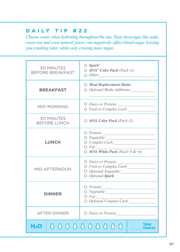*Choose water when hydrating throughout the day. Tasty beverages like soda, sweet tea and even natural juices can negatively affect blood sugar leaving you crashing later, while only craving more sugar.*

|                                                | $\bigcirc$ Spark <sup>*</sup>                                                                                                                   |  |  |  |
|------------------------------------------------|-------------------------------------------------------------------------------------------------------------------------------------------------|--|--|--|
| <b>30 MINUTES</b><br><b>BEFORE BREAKFAST</b>   | $\bigcirc$ MNS <sup>*</sup> Color Pack (Pack #1)<br>$\bigcirc$ Other:                                                                           |  |  |  |
| <b>BREAKFAST</b>                               | ○ Meal Replacement Shake<br>$\bigcirc$ Optional Shake Additions:                                                                                |  |  |  |
| MID-MORNING                                    | O Dairy or Protein:<br>O Fruit or Complex Carb:                                                                                                 |  |  |  |
| <b>30 MINUTES</b><br><b>BEFORE LUNCH</b>       | $\bigcirc$ MNS Color Pack (Pack #2)                                                                                                             |  |  |  |
| <b>LUNCH</b>                                   | $\bigcirc$ Protein:<br>$\overline{\bigcirc}$ Vegetable:<br>$\circ$ Complex Carb:<br>$O$ <i>Fat:</i><br>$\bigcirc$ MNS White Pack (Pack #3 & #4) |  |  |  |
| MID-AFTERNOON                                  | O Dairy or Protein:<br>O Fruit or Complex Carb:<br>O Optional Vegetable:<br>O Optional Spark                                                    |  |  |  |
| <b>DINNER</b>                                  | $O$ Protein:<br>$O$ <i>Fat:</i><br>O Optional Complex Carb:                                                                                     |  |  |  |
| <b>AFTER DINNER</b>                            | O Dairy or Protein:                                                                                                                             |  |  |  |
| <b>Total</b><br>0000000000<br>H <sub>2</sub> O |                                                                                                                                                 |  |  |  |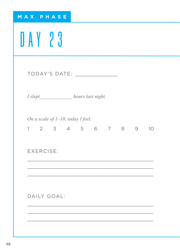| MAX PHASE                                                    |
|--------------------------------------------------------------|
| DAY 23                                                       |
|                                                              |
| I slept______________ hours last night.                      |
| On a scale of $1-10$ , today I feel:<br>1 2 3 4 5 6 7 8 9 10 |
| EXERCISE:                                                    |
|                                                              |
| DAILY GOAL:                                                  |
|                                                              |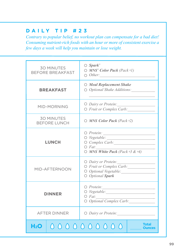*Contrary to popular belief, no workout plan can compensate for a bad diet! Consuming nutrient-rich foods with an hour or more of consistent exercise a few days a week will help you maintain or lose weight.*

| <b>30 MINUTES</b><br><b>BEFORE BREAKFAST</b> | $\bigcirc$ Spark <sup>*</sup><br>$\bigcirc$ MNS <sup>*</sup> Color Pack (Pack #1)<br>$\bigcirc$ Other: |  |  |
|----------------------------------------------|--------------------------------------------------------------------------------------------------------|--|--|
| <b>BREAKFAST</b>                             | ○ Meal Replacement Shake<br>$\bigcirc$ Optional Shake Additions:                                       |  |  |
| MID-MORNING                                  | O Dairy or Protein:<br>O Fruit or Complex Carb:                                                        |  |  |
| <b>30 MINUTES</b><br><b>BEFORE LUNCH</b>     | $\bigcirc$ MNS Color Pack (Pack #2)                                                                    |  |  |
| <b>LUNCH</b>                                 | $\bigcirc$ Protein:<br>$O$ <i>Fat:</i><br>$\bigcirc$ MNS White Pack (Pack #3 & #4)                     |  |  |
| MID-AFTERNOON                                | O Dairy or Protein:<br>O Fruit or Complex Carb:<br>O Optional Vegetable:<br>O Optional Spark           |  |  |
| <b>DINNER</b>                                | $O$ Protein:<br>$O$ <i>Fat:</i><br>O Optional Complex Carb:                                            |  |  |
| <b>AFTER DINNER</b>                          | $\bigcirc$ Dairy or Protein:                                                                           |  |  |
| H2O                                          | <b>Total</b><br>0000000000                                                                             |  |  |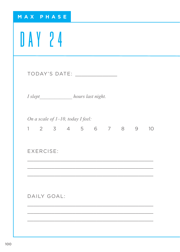| MAX PHASE   |                                                           |  |  |
|-------------|-----------------------------------------------------------|--|--|
| DAY 24      |                                                           |  |  |
|             |                                                           |  |  |
|             | I slept_____________ hours last night.                    |  |  |
|             | On a scale of 1-10, today I feel:<br>1 2 3 4 5 6 7 8 9 10 |  |  |
| EXERCISE:   |                                                           |  |  |
|             |                                                           |  |  |
| DAILY GOAL: |                                                           |  |  |
|             |                                                           |  |  |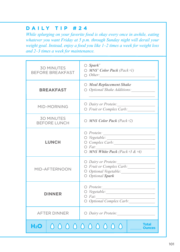*While splurging on your favorite food is okay every once in awhile, eating whatever you want Friday at 5 p.m. through Sunday night will derail your weight goal. Instead, enjoy a food you like 1–2 times a week for weight loss and 2–3 times a week for maintenance.* 

| <b>30 MINUTES</b><br><b>BEFORE BREAKFAST</b> | $\bigcirc$ Spark <sup>*</sup><br>$\bigcirc$ MNS <sup>*</sup> Color Pack (Pack #1)<br>$\bigcirc$ Other: |  |  |
|----------------------------------------------|--------------------------------------------------------------------------------------------------------|--|--|
| <b>BREAKFAST</b>                             | $\bigcirc$ Meal Replacement Shake<br>$\bigcirc$ Optional Shake Additions:                              |  |  |
| MID-MORNING                                  | O Dairy or Protein:<br>O Fruit or Complex Carb:                                                        |  |  |
| <b>30 MINUTES</b><br><b>BEFORE LUNCH</b>     | $\bigcirc$ MNS Color Pack (Pack #2)                                                                    |  |  |
| <b>LUNCH</b>                                 | $\bigcirc$ Protein:<br>$O$ <i>Fat:</i><br>$\bigcirc$ MNS White Pack (Pack #3 & #4)                     |  |  |
| MID-AFTERNOON                                | O Dairy or Protein:<br>O Fruit or Complex Carb:<br>O Optional Vegetable:<br>O Optional Spark           |  |  |
| DINNER                                       | $O$ Protein:<br>O Vegetable:<br>$O$ <i>Fat:</i><br>O Optional Complex Carb:                            |  |  |
| <b>AFTER DINNER</b>                          | $\bigcirc$ Dairy or Protein:                                                                           |  |  |
| Total<br>0000000000<br>H2O -                 |                                                                                                        |  |  |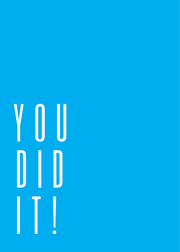# V O U  $\mathbb{D}$   $\mathbb{D}$  $\prod$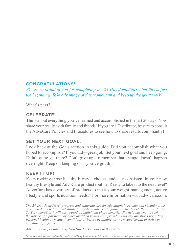### **CONGRATULATIONS!**

*We are so proud of you for completing the 24-Day JumpStart®, but this is just the beginning. Take advantage of this momentum and keep up the great work.*

What's next?

### **CELEBRATE!**

Think about everything you've learned and accomplished in the last 24 days. Now share your results with family and friends! If you are a Distributor, be sure to consult the AdvoCare Policies and Procedures to see how to share results compliantly!

### **SET YOUR NEXT GOAL.**

Look back at the Goals section in this guide. Did you accomplish what you hoped to accomplish? If you did—great job! Set your next goal and keep going. Didn't quite get there? Don't give up—remember that change doesn't happen overnight. Keep on keeping on—you've got this!

### **KEEP IT UP!**

Keep rocking those healthy lifestyle choices and stay consistent in your new healthy lifestyle and AdvoCare product routine. Ready to take it to the next level? AdvoCare has a variety of products to meet your weight-management, active lifestyle and sports nutrition needs.\* For more information visit advocare.com.

*The 24-Day JumpStart® program and materials are for educational use only and should not be considered or used as a substitute for medical advice, diagnosis or treatment. Responses to the 24-Day JumpStart® will vary based on individual characteristics. Participants should seek the advice of a physician or other qualified health care provider with any questions regarding personal health or medical conditions or before beginning any new supplement, exercise or nutritional program.*

*AdvoCare compensated Amy Goodson for her work in the Guide.*

*\* This statement has not been evaluated by the Food and Drug Administration. This product is not intended to diagnose, treat, cure or prevent any disease.*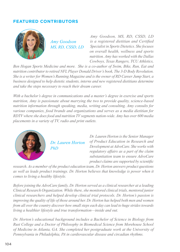### **FEATURED CONTRIBUTORS**



*Amy Goodson MS, RD, CSSD, LD*

*Amy Goodson, MS, RD, CSSD, LD is a registered dietitian and Certified Specialist in Sports Dietetics. She focuses on overall health, wellness and sports nutrition. Amy has worked with the Dallas Cowboys, Texas Rangers, TCU Athletics,* 

*Ben Hogan Sports Medicine and more. She is a co-author of Swim, Bike, Run, Eat and nutrition contributor to retired NFL Player Donald Driver's book, The 3-D Body Revolution. She is a writer for Women's Running Magazine and is the owner of RD Career Jump Start, a business designed to help dietetic students, interns and new registered dietitians determine and take the steps necessary to reach their dream career.*

*With a bachelor's degree in communications and a master's degree in exercise and sports nutrition, Amy is passionate about marrying the two to provide quality, science-based nutrition information through speaking, media, writing and consulting. Amy consults for various companies, food brands and organizations and serves as a media dietitian for RDTV where she does food and nutrition TV segments nation-wide. Amy has over 600 media placements in a variety of TV, radio and print outlets.*



*Dr. Lauren Horton PhD*

*Dr. Lauren Horton is the Senior Manager of Product Education in Research and Development at AdvoCare. She works with regulatory affairs as a part of the claim substantiation team to ensure AdvoCare product claims are supported by scientific* 

*research. As a member of the product education team, Dr. Horton answers product questions as well as leads product trainings. Dr. Horton believes that knowledge is power when it comes to living a healthy lifestyle.*

*Before joining the AdvoCare family, Dr. Horton served as a clinical researcher at a leading Clinical Research Organization. While there, she monitored clinical trials, mentored junior clinical researchers and helped develop clinical trial protocols. Dr. Horton's passion is improving the quality of life of those around her. Dr. Horton has helped both men and women from all over the country discover how small steps each day can lead to huge strides towards living a healthier lifestyle and true transformation—inside and out.*

*Dr. Horton's educational background includes a Bachelor of Science in Biology from Rust College and a Doctor of Philosophy in Biomedical Science from Morehouse School of Medicine in Atlanta, GA. She completed her postgraduate work at the University of Pennsylvania in Philadelphia, PA in cardiovascular disease and circadian rhythms.*